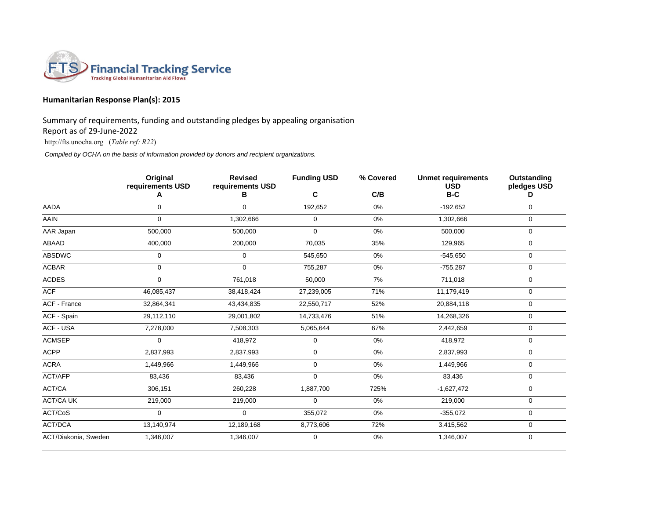

## **Humanitarian Response Plan(s): 2015**

Summary of requirements, funding and outstanding pledges by appealing organisation

Report as of 29-June-2022

http://fts.unocha.org (*Table ref: R22*)

*Compiled by OCHA on the basis of information provided by donors and recipient organizations.*

|                      | Original<br>requirements USD | <b>Revised</b><br>requirements USD | <b>Funding USD</b> | % Covered | <b>Unmet requirements</b><br><b>USD</b> | Outstanding<br>pledges USD |
|----------------------|------------------------------|------------------------------------|--------------------|-----------|-----------------------------------------|----------------------------|
|                      | A                            | В                                  | С                  | C/B       | $B-C$                                   | D                          |
| AADA                 | $\Omega$                     | 0                                  | 192,652            | 0%        | $-192,652$                              | 0                          |
| AAIN                 | $\Omega$                     | 1,302,666                          | 0                  | 0%        | 1,302,666                               | $\mathbf 0$                |
| AAR Japan            | 500,000                      | 500,000                            | 0                  | 0%        | 500,000                                 | $\mathbf 0$                |
| ABAAD                | 400,000                      | 200,000                            | 70,035             | 35%       | 129,965                                 | 0                          |
| <b>ABSDWC</b>        | $\mathbf 0$                  | $\mathbf 0$                        | 545,650            | 0%        | $-545,650$                              | 0                          |
| <b>ACBAR</b>         | $\mathbf 0$                  | $\mathbf 0$                        | 755,287            | 0%        | $-755,287$                              | 0                          |
| <b>ACDES</b>         | $\Omega$                     | 761,018                            | 50,000             | 7%        | 711,018                                 | 0                          |
| ACF                  | 46,085,437                   | 38,418,424                         | 27,239,005         | 71%       | 11,179,419                              | 0                          |
| ACF - France         | 32,864,341                   | 43,434,835                         | 22,550,717         | 52%       | 20,884,118                              | $\mathbf 0$                |
| ACF - Spain          | 29,112,110                   | 29,001,802                         | 14,733,476         | 51%       | 14,268,326                              | $\mathbf 0$                |
| ACF - USA            | 7,278,000                    | 7,508,303                          | 5,065,644          | 67%       | 2,442,659                               | 0                          |
| <b>ACMSEP</b>        | $\mathbf 0$                  | 418,972                            | 0                  | 0%        | 418,972                                 | $\mathbf 0$                |
| <b>ACPP</b>          | 2,837,993                    | 2,837,993                          | 0                  | 0%        | 2,837,993                               | 0                          |
| <b>ACRA</b>          | 1,449,966                    | 1,449,966                          | 0                  | 0%        | 1,449,966                               | 0                          |
| ACT/AFP              | 83,436                       | 83,436                             | 0                  | 0%        | 83,436                                  | $\mathbf 0$                |
| ACT/CA               | 306,151                      | 260,228                            | 1,887,700          | 725%      | $-1,627,472$                            | $\mathbf 0$                |
| <b>ACT/CA UK</b>     | 219,000                      | 219,000                            | 0                  | 0%        | 219,000                                 | $\mathbf 0$                |
| ACT/CoS              | $\Omega$                     | $\Omega$                           | 355,072            | 0%        | $-355,072$                              | $\mathbf 0$                |
| ACT/DCA              | 13,140,974                   | 12,189,168                         | 8,773,606          | 72%       | 3,415,562                               | 0                          |
| ACT/Diakonia, Sweden | 1,346,007                    | 1,346,007                          | 0                  | 0%        | 1,346,007                               | 0                          |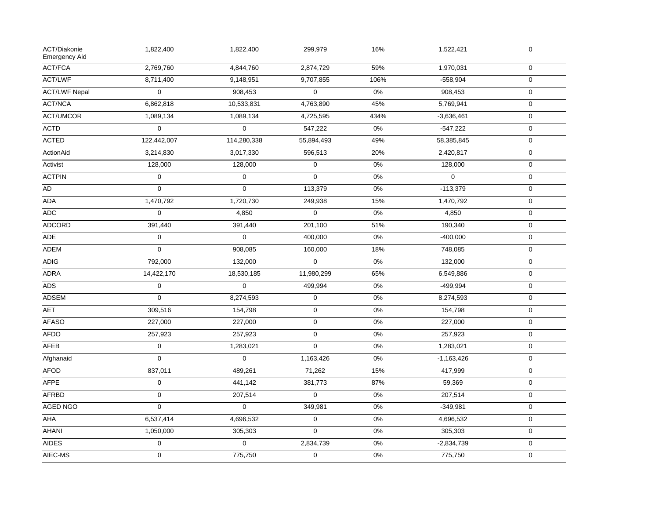| ACT/Diakonie<br><b>Emergency Aid</b> | 1,822,400           | 1,822,400   | 299,979     | 16%   | 1,522,421    | $\mathbf 0$         |  |
|--------------------------------------|---------------------|-------------|-------------|-------|--------------|---------------------|--|
| <b>ACT/FCA</b>                       | 2,769,760           | 4,844,760   | 2,874,729   | 59%   | 1,970,031    | $\mathbf 0$         |  |
| ACT/LWF                              | 8,711,400           | 9,148,951   | 9,707,855   | 106%  | $-558,904$   | $\mathbf 0$         |  |
| <b>ACT/LWF Nepal</b>                 | $\mathbf 0$         | 908,453     | $\mathsf 0$ | 0%    | 908,453      | $\mathbf 0$         |  |
| <b>ACT/NCA</b>                       | 6,862,818           | 10,533,831  | 4,763,890   | 45%   | 5,769,941    | $\mathbf 0$         |  |
| <b>ACT/UMCOR</b>                     | 1,089,134           | 1,089,134   | 4,725,595   | 434%  | $-3,636,461$ | $\mathbf 0$         |  |
| <b>ACTD</b>                          | $\mathbf 0$         | $\mathbf 0$ | 547,222     | 0%    | $-547,222$   | $\mathsf{O}\xspace$ |  |
| <b>ACTED</b>                         | 122,442,007         | 114,280,338 | 55,894,493  | 49%   | 58,385,845   | $\mathsf{O}\xspace$ |  |
| ActionAid                            | 3,214,830           | 3,017,330   | 596,513     | 20%   | 2,420,817    | $\mathbf 0$         |  |
| Activist                             | 128,000             | 128,000     | $\mathsf 0$ | 0%    | 128,000      | $\mathbf 0$         |  |
| <b>ACTPIN</b>                        | $\mathbf 0$         | $\mathbf 0$ | $\mathbf 0$ | 0%    | $\mathbf{0}$ | $\mathbf 0$         |  |
| AD                                   | $\mathbf 0$         | $\mathbf 0$ | 113,379     | 0%    | $-113,379$   | $\mathbf 0$         |  |
| ADA                                  | 1,470,792           | 1,720,730   | 249,938     | 15%   | 1,470,792    | $\mathbf 0$         |  |
| ADC                                  | $\mathbf 0$         | 4,850       | $\mathsf 0$ | 0%    | 4,850        | $\mathbf 0$         |  |
| <b>ADCORD</b>                        | 391,440             | 391,440     | 201,100     | 51%   | 190,340      | $\mathbf 0$         |  |
| <b>ADE</b>                           | $\mathbf 0$         | $\mathbf 0$ | 400,000     | $0\%$ | $-400,000$   | $\mathbf 0$         |  |
| <b>ADEM</b>                          | $\mathbf 0$         | 908,085     | 160,000     | 18%   | 748,085      | $\mathbf 0$         |  |
| <b>ADIG</b>                          | 792,000             | 132,000     | $\mathbf 0$ | 0%    | 132,000      | $\mathbf 0$         |  |
| ADRA                                 | 14,422,170          | 18,530,185  | 11,980,299  | 65%   | 6,549,886    | $\mathbf 0$         |  |
| <b>ADS</b>                           | $\mathbf 0$         | $\mathbf 0$ | 499,994     | 0%    | $-499,994$   | $\mathsf{O}\xspace$ |  |
| ADSEM                                | $\mathbf 0$         | 8,274,593   | $\pmb{0}$   | 0%    | 8,274,593    | $\mathbf 0$         |  |
| AET                                  | 309,516             | 154,798     | $\mathbf 0$ | 0%    | 154,798      | $\mathbf 0$         |  |
| <b>AFASO</b>                         | 227,000             | 227,000     | $\pmb{0}$   | 0%    | 227,000      | $\mathbf 0$         |  |
| AFDO                                 | 257,923             | 257,923     | $\pmb{0}$   | 0%    | 257,923      | $\mathbf 0$         |  |
| AFEB                                 | $\pmb{0}$           | 1,283,021   | $\mathbf 0$ | 0%    | 1,283,021    | $\mathbf 0$         |  |
| Afghanaid                            | $\mathbf 0$         | $\mathbf 0$ | 1,163,426   | 0%    | $-1,163,426$ | $\mathbf 0$         |  |
| <b>AFOD</b>                          | 837,011             | 489,261     | 71,262      | 15%   | 417,999      | $\mathbf 0$         |  |
| <b>AFPE</b>                          | $\mathbf 0$         | 441,142     | 381,773     | 87%   | 59,369       | $\mathbf 0$         |  |
| <b>AFRBD</b>                         | $\mathsf{O}\xspace$ | 207,514     | $\mathbf 0$ | 0%    | 207,514      | $\mathbf 0$         |  |
| AGED NGO                             | $\Omega$            | $\mathbf 0$ | 349,981     | 0%    | $-349,981$   | $\mathbf 0$         |  |
| AHA                                  | 6,537,414           | 4,696,532   | $\pmb{0}$   | 0%    | 4,696,532    | $\mathsf{O}\xspace$ |  |
| <b>AHANI</b>                         | 1,050,000           | 305,303     | $\mathbf 0$ | $0\%$ | 305,303      | $\mathsf{O}\xspace$ |  |
| <b>AIDES</b>                         | $\pmb{0}$           | $\mathbf 0$ | 2,834,739   | 0%    | $-2,834,739$ | $\mathbf 0$         |  |
| AIEC-MS                              | $\pmb{0}$           | 775,750     | $\mathsf 0$ | 0%    | 775,750      | $\mathbf 0$         |  |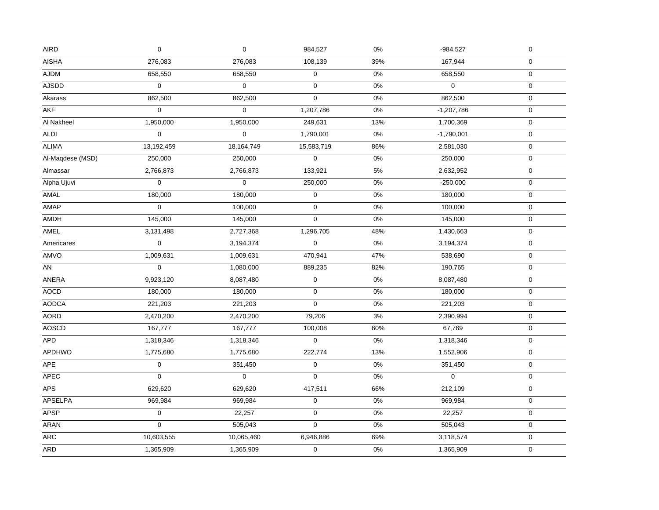| <b>AISHA</b><br>276,083<br>276,083<br>108,139<br>39%<br>$\mathbf 0$<br>167,944<br>AJDM<br>658,550<br>$0\%$<br>658,550<br>0<br>658,550<br>$\mathbf 0$<br><b>AJSDD</b><br>0<br>$\mathbf 0$<br>0%<br>$\Omega$<br>$\pmb{0}$<br>$\mathbf 0$<br>862,500<br>862,500<br>$\mathbf 0$<br>0%<br>862,500<br>Akarass<br>$\mathbf 0$<br><b>AKF</b><br>0<br>$\mathbf 0$<br>0%<br>1,207,786<br>$-1,207,786$<br>$\mathbf 0$<br>Al Nakheel<br>1,950,000<br>13%<br>1,950,000<br>249,631<br>1,700,369<br>$\pmb{0}$<br><b>ALDI</b><br>$\boldsymbol{0}$<br>$\pmb{0}$<br>$0\%$<br>$\pmb{0}$<br>1,790,001<br>$-1,790,001$<br><b>ALIMA</b><br>13,192,459<br>18,164,749<br>15,583,719<br>86%<br>$\pmb{0}$<br>2,581,030<br>250,000<br>$\mathbf 0$<br>$0\%$<br>Al-Magdese (MSD)<br>250,000<br>250,000<br>$\pmb{0}$<br>5%<br>133,921<br>Almassar<br>2,766,873<br>2,766,873<br>2,632,952<br>0<br>$\mathbf 0$<br>$\mathbf 0$<br>0%<br>$\pmb{0}$<br>250,000<br>$-250,000$<br>AMAL<br>180,000<br>180,000<br>$\mathbf 0$<br>$0\%$<br>$\boldsymbol{0}$<br>180,000<br>0<br>100,000<br>$0\%$<br>0<br>100,000<br>$\mathbf 0$<br>145,000<br>145,000<br>0<br>$0\%$<br>145,000<br>$\pmb{0}$<br><b>AMEL</b><br>1,296,705<br>48%<br>3,131,498<br>2,727,368<br>1,430,663<br>$\mathbf 0$<br>Americares<br>$\overline{0}$<br>0<br>0%<br>$\mathbf 0$<br>3,194,374<br>3,194,374<br>1,009,631<br>1,009,631<br>470,941<br>47%<br>$\pmb{0}$<br>538,690<br>0<br>82%<br>190,765<br>AN<br>1,080,000<br>889,235<br>$\pmb{0}$<br>9,923,120<br>$\pmb{0}$<br>$0\%$<br>$\pmb{0}$<br>8,087,480<br>8,087,480<br>$0\%$<br>$\pmb{0}$<br>180,000<br>180,000<br>0<br>180,000<br>0%<br><b>AODCA</b><br>221,203<br>221,203<br>$\mathbf 0$<br>$\mathbf 0$<br>221,203<br><b>AORD</b><br>79,206<br>3%<br>$\pmb{0}$<br>2,470,200<br>2,470,200<br>2,390,994<br>167,777<br>167,777<br>100,008<br>60%<br>67,769<br>$\boldsymbol{0}$<br>APD<br>1,318,346<br>1,318,346<br>0<br>$0\%$<br>1,318,346<br>$\mathbf 0$<br><b>APDHWO</b><br>1,775,680<br>222,774<br>13%<br>1,775,680<br>1,552,906<br>$\pmb{0}$<br>0%<br>0<br>351,450<br>0<br>351,450<br>$\mathbf 0$<br><b>APEC</b><br>$\mathbf 0$<br>0%<br>$\mathbf 0$<br>$\Omega$<br>$\Omega$<br>$\mathbf 0$<br><b>APS</b><br>629,620<br>417,511<br>66%<br>$\pmb{0}$<br>629,620<br>212,109<br><b>APSELPA</b><br>969,984<br>969,984<br>$0\%$<br>0<br>969,984<br>$\pmb{0}$<br><b>APSP</b><br>$\pmb{0}$<br>$\pmb{0}$<br>$0\%$<br>22,257<br>22,257<br>$\pmb{0}$<br><b>ARAN</b><br>$\Omega$<br>505,043<br>$\Omega$<br>$0\%$<br>$\pmb{0}$<br>505,043<br><b>ARC</b><br>69%<br>10,603,555<br>10,065,460<br>6,946,886<br>$\mathbf 0$<br>3,118,574<br><b>ARD</b><br>$0\%$<br>$\boldsymbol{0}$<br>1,365,909<br>1,365,909<br>0<br>1,365,909 | <b>AIRD</b>  | $\pmb{0}$ | $\pmb{0}$ | 984,527 | $0\%$ | $-984,527$ | $\pmb{0}$ |
|-----------------------------------------------------------------------------------------------------------------------------------------------------------------------------------------------------------------------------------------------------------------------------------------------------------------------------------------------------------------------------------------------------------------------------------------------------------------------------------------------------------------------------------------------------------------------------------------------------------------------------------------------------------------------------------------------------------------------------------------------------------------------------------------------------------------------------------------------------------------------------------------------------------------------------------------------------------------------------------------------------------------------------------------------------------------------------------------------------------------------------------------------------------------------------------------------------------------------------------------------------------------------------------------------------------------------------------------------------------------------------------------------------------------------------------------------------------------------------------------------------------------------------------------------------------------------------------------------------------------------------------------------------------------------------------------------------------------------------------------------------------------------------------------------------------------------------------------------------------------------------------------------------------------------------------------------------------------------------------------------------------------------------------------------------------------------------------------------------------------------------------------------------------------------------------------------------------------------------------------------------------------------------------------------------------------------------------------------------------------------------------------------------------------------------------------------------------------------------------------------------------------------------------------------------------------------------------------------------------------------------------------------------------------------------------------------|--------------|-----------|-----------|---------|-------|------------|-----------|
|                                                                                                                                                                                                                                                                                                                                                                                                                                                                                                                                                                                                                                                                                                                                                                                                                                                                                                                                                                                                                                                                                                                                                                                                                                                                                                                                                                                                                                                                                                                                                                                                                                                                                                                                                                                                                                                                                                                                                                                                                                                                                                                                                                                                                                                                                                                                                                                                                                                                                                                                                                                                                                                                                               |              |           |           |         |       |            |           |
|                                                                                                                                                                                                                                                                                                                                                                                                                                                                                                                                                                                                                                                                                                                                                                                                                                                                                                                                                                                                                                                                                                                                                                                                                                                                                                                                                                                                                                                                                                                                                                                                                                                                                                                                                                                                                                                                                                                                                                                                                                                                                                                                                                                                                                                                                                                                                                                                                                                                                                                                                                                                                                                                                               |              |           |           |         |       |            |           |
|                                                                                                                                                                                                                                                                                                                                                                                                                                                                                                                                                                                                                                                                                                                                                                                                                                                                                                                                                                                                                                                                                                                                                                                                                                                                                                                                                                                                                                                                                                                                                                                                                                                                                                                                                                                                                                                                                                                                                                                                                                                                                                                                                                                                                                                                                                                                                                                                                                                                                                                                                                                                                                                                                               |              |           |           |         |       |            |           |
|                                                                                                                                                                                                                                                                                                                                                                                                                                                                                                                                                                                                                                                                                                                                                                                                                                                                                                                                                                                                                                                                                                                                                                                                                                                                                                                                                                                                                                                                                                                                                                                                                                                                                                                                                                                                                                                                                                                                                                                                                                                                                                                                                                                                                                                                                                                                                                                                                                                                                                                                                                                                                                                                                               |              |           |           |         |       |            |           |
|                                                                                                                                                                                                                                                                                                                                                                                                                                                                                                                                                                                                                                                                                                                                                                                                                                                                                                                                                                                                                                                                                                                                                                                                                                                                                                                                                                                                                                                                                                                                                                                                                                                                                                                                                                                                                                                                                                                                                                                                                                                                                                                                                                                                                                                                                                                                                                                                                                                                                                                                                                                                                                                                                               |              |           |           |         |       |            |           |
|                                                                                                                                                                                                                                                                                                                                                                                                                                                                                                                                                                                                                                                                                                                                                                                                                                                                                                                                                                                                                                                                                                                                                                                                                                                                                                                                                                                                                                                                                                                                                                                                                                                                                                                                                                                                                                                                                                                                                                                                                                                                                                                                                                                                                                                                                                                                                                                                                                                                                                                                                                                                                                                                                               |              |           |           |         |       |            |           |
|                                                                                                                                                                                                                                                                                                                                                                                                                                                                                                                                                                                                                                                                                                                                                                                                                                                                                                                                                                                                                                                                                                                                                                                                                                                                                                                                                                                                                                                                                                                                                                                                                                                                                                                                                                                                                                                                                                                                                                                                                                                                                                                                                                                                                                                                                                                                                                                                                                                                                                                                                                                                                                                                                               |              |           |           |         |       |            |           |
|                                                                                                                                                                                                                                                                                                                                                                                                                                                                                                                                                                                                                                                                                                                                                                                                                                                                                                                                                                                                                                                                                                                                                                                                                                                                                                                                                                                                                                                                                                                                                                                                                                                                                                                                                                                                                                                                                                                                                                                                                                                                                                                                                                                                                                                                                                                                                                                                                                                                                                                                                                                                                                                                                               |              |           |           |         |       |            |           |
|                                                                                                                                                                                                                                                                                                                                                                                                                                                                                                                                                                                                                                                                                                                                                                                                                                                                                                                                                                                                                                                                                                                                                                                                                                                                                                                                                                                                                                                                                                                                                                                                                                                                                                                                                                                                                                                                                                                                                                                                                                                                                                                                                                                                                                                                                                                                                                                                                                                                                                                                                                                                                                                                                               |              |           |           |         |       |            |           |
|                                                                                                                                                                                                                                                                                                                                                                                                                                                                                                                                                                                                                                                                                                                                                                                                                                                                                                                                                                                                                                                                                                                                                                                                                                                                                                                                                                                                                                                                                                                                                                                                                                                                                                                                                                                                                                                                                                                                                                                                                                                                                                                                                                                                                                                                                                                                                                                                                                                                                                                                                                                                                                                                                               |              |           |           |         |       |            |           |
|                                                                                                                                                                                                                                                                                                                                                                                                                                                                                                                                                                                                                                                                                                                                                                                                                                                                                                                                                                                                                                                                                                                                                                                                                                                                                                                                                                                                                                                                                                                                                                                                                                                                                                                                                                                                                                                                                                                                                                                                                                                                                                                                                                                                                                                                                                                                                                                                                                                                                                                                                                                                                                                                                               | Alpha Ujuvi  |           |           |         |       |            |           |
|                                                                                                                                                                                                                                                                                                                                                                                                                                                                                                                                                                                                                                                                                                                                                                                                                                                                                                                                                                                                                                                                                                                                                                                                                                                                                                                                                                                                                                                                                                                                                                                                                                                                                                                                                                                                                                                                                                                                                                                                                                                                                                                                                                                                                                                                                                                                                                                                                                                                                                                                                                                                                                                                                               |              |           |           |         |       |            |           |
|                                                                                                                                                                                                                                                                                                                                                                                                                                                                                                                                                                                                                                                                                                                                                                                                                                                                                                                                                                                                                                                                                                                                                                                                                                                                                                                                                                                                                                                                                                                                                                                                                                                                                                                                                                                                                                                                                                                                                                                                                                                                                                                                                                                                                                                                                                                                                                                                                                                                                                                                                                                                                                                                                               | AMAP         |           |           |         |       |            |           |
|                                                                                                                                                                                                                                                                                                                                                                                                                                                                                                                                                                                                                                                                                                                                                                                                                                                                                                                                                                                                                                                                                                                                                                                                                                                                                                                                                                                                                                                                                                                                                                                                                                                                                                                                                                                                                                                                                                                                                                                                                                                                                                                                                                                                                                                                                                                                                                                                                                                                                                                                                                                                                                                                                               | AMDH         |           |           |         |       |            |           |
|                                                                                                                                                                                                                                                                                                                                                                                                                                                                                                                                                                                                                                                                                                                                                                                                                                                                                                                                                                                                                                                                                                                                                                                                                                                                                                                                                                                                                                                                                                                                                                                                                                                                                                                                                                                                                                                                                                                                                                                                                                                                                                                                                                                                                                                                                                                                                                                                                                                                                                                                                                                                                                                                                               |              |           |           |         |       |            |           |
|                                                                                                                                                                                                                                                                                                                                                                                                                                                                                                                                                                                                                                                                                                                                                                                                                                                                                                                                                                                                                                                                                                                                                                                                                                                                                                                                                                                                                                                                                                                                                                                                                                                                                                                                                                                                                                                                                                                                                                                                                                                                                                                                                                                                                                                                                                                                                                                                                                                                                                                                                                                                                                                                                               |              |           |           |         |       |            |           |
|                                                                                                                                                                                                                                                                                                                                                                                                                                                                                                                                                                                                                                                                                                                                                                                                                                                                                                                                                                                                                                                                                                                                                                                                                                                                                                                                                                                                                                                                                                                                                                                                                                                                                                                                                                                                                                                                                                                                                                                                                                                                                                                                                                                                                                                                                                                                                                                                                                                                                                                                                                                                                                                                                               | AMVO         |           |           |         |       |            |           |
|                                                                                                                                                                                                                                                                                                                                                                                                                                                                                                                                                                                                                                                                                                                                                                                                                                                                                                                                                                                                                                                                                                                                                                                                                                                                                                                                                                                                                                                                                                                                                                                                                                                                                                                                                                                                                                                                                                                                                                                                                                                                                                                                                                                                                                                                                                                                                                                                                                                                                                                                                                                                                                                                                               |              |           |           |         |       |            |           |
|                                                                                                                                                                                                                                                                                                                                                                                                                                                                                                                                                                                                                                                                                                                                                                                                                                                                                                                                                                                                                                                                                                                                                                                                                                                                                                                                                                                                                                                                                                                                                                                                                                                                                                                                                                                                                                                                                                                                                                                                                                                                                                                                                                                                                                                                                                                                                                                                                                                                                                                                                                                                                                                                                               | ANERA        |           |           |         |       |            |           |
|                                                                                                                                                                                                                                                                                                                                                                                                                                                                                                                                                                                                                                                                                                                                                                                                                                                                                                                                                                                                                                                                                                                                                                                                                                                                                                                                                                                                                                                                                                                                                                                                                                                                                                                                                                                                                                                                                                                                                                                                                                                                                                                                                                                                                                                                                                                                                                                                                                                                                                                                                                                                                                                                                               | <b>AOCD</b>  |           |           |         |       |            |           |
|                                                                                                                                                                                                                                                                                                                                                                                                                                                                                                                                                                                                                                                                                                                                                                                                                                                                                                                                                                                                                                                                                                                                                                                                                                                                                                                                                                                                                                                                                                                                                                                                                                                                                                                                                                                                                                                                                                                                                                                                                                                                                                                                                                                                                                                                                                                                                                                                                                                                                                                                                                                                                                                                                               |              |           |           |         |       |            |           |
|                                                                                                                                                                                                                                                                                                                                                                                                                                                                                                                                                                                                                                                                                                                                                                                                                                                                                                                                                                                                                                                                                                                                                                                                                                                                                                                                                                                                                                                                                                                                                                                                                                                                                                                                                                                                                                                                                                                                                                                                                                                                                                                                                                                                                                                                                                                                                                                                                                                                                                                                                                                                                                                                                               |              |           |           |         |       |            |           |
|                                                                                                                                                                                                                                                                                                                                                                                                                                                                                                                                                                                                                                                                                                                                                                                                                                                                                                                                                                                                                                                                                                                                                                                                                                                                                                                                                                                                                                                                                                                                                                                                                                                                                                                                                                                                                                                                                                                                                                                                                                                                                                                                                                                                                                                                                                                                                                                                                                                                                                                                                                                                                                                                                               | <b>AOSCD</b> |           |           |         |       |            |           |
|                                                                                                                                                                                                                                                                                                                                                                                                                                                                                                                                                                                                                                                                                                                                                                                                                                                                                                                                                                                                                                                                                                                                                                                                                                                                                                                                                                                                                                                                                                                                                                                                                                                                                                                                                                                                                                                                                                                                                                                                                                                                                                                                                                                                                                                                                                                                                                                                                                                                                                                                                                                                                                                                                               |              |           |           |         |       |            |           |
|                                                                                                                                                                                                                                                                                                                                                                                                                                                                                                                                                                                                                                                                                                                                                                                                                                                                                                                                                                                                                                                                                                                                                                                                                                                                                                                                                                                                                                                                                                                                                                                                                                                                                                                                                                                                                                                                                                                                                                                                                                                                                                                                                                                                                                                                                                                                                                                                                                                                                                                                                                                                                                                                                               |              |           |           |         |       |            |           |
|                                                                                                                                                                                                                                                                                                                                                                                                                                                                                                                                                                                                                                                                                                                                                                                                                                                                                                                                                                                                                                                                                                                                                                                                                                                                                                                                                                                                                                                                                                                                                                                                                                                                                                                                                                                                                                                                                                                                                                                                                                                                                                                                                                                                                                                                                                                                                                                                                                                                                                                                                                                                                                                                                               | <b>APE</b>   |           |           |         |       |            |           |
|                                                                                                                                                                                                                                                                                                                                                                                                                                                                                                                                                                                                                                                                                                                                                                                                                                                                                                                                                                                                                                                                                                                                                                                                                                                                                                                                                                                                                                                                                                                                                                                                                                                                                                                                                                                                                                                                                                                                                                                                                                                                                                                                                                                                                                                                                                                                                                                                                                                                                                                                                                                                                                                                                               |              |           |           |         |       |            |           |
|                                                                                                                                                                                                                                                                                                                                                                                                                                                                                                                                                                                                                                                                                                                                                                                                                                                                                                                                                                                                                                                                                                                                                                                                                                                                                                                                                                                                                                                                                                                                                                                                                                                                                                                                                                                                                                                                                                                                                                                                                                                                                                                                                                                                                                                                                                                                                                                                                                                                                                                                                                                                                                                                                               |              |           |           |         |       |            |           |
|                                                                                                                                                                                                                                                                                                                                                                                                                                                                                                                                                                                                                                                                                                                                                                                                                                                                                                                                                                                                                                                                                                                                                                                                                                                                                                                                                                                                                                                                                                                                                                                                                                                                                                                                                                                                                                                                                                                                                                                                                                                                                                                                                                                                                                                                                                                                                                                                                                                                                                                                                                                                                                                                                               |              |           |           |         |       |            |           |
|                                                                                                                                                                                                                                                                                                                                                                                                                                                                                                                                                                                                                                                                                                                                                                                                                                                                                                                                                                                                                                                                                                                                                                                                                                                                                                                                                                                                                                                                                                                                                                                                                                                                                                                                                                                                                                                                                                                                                                                                                                                                                                                                                                                                                                                                                                                                                                                                                                                                                                                                                                                                                                                                                               |              |           |           |         |       |            |           |
|                                                                                                                                                                                                                                                                                                                                                                                                                                                                                                                                                                                                                                                                                                                                                                                                                                                                                                                                                                                                                                                                                                                                                                                                                                                                                                                                                                                                                                                                                                                                                                                                                                                                                                                                                                                                                                                                                                                                                                                                                                                                                                                                                                                                                                                                                                                                                                                                                                                                                                                                                                                                                                                                                               |              |           |           |         |       |            |           |
|                                                                                                                                                                                                                                                                                                                                                                                                                                                                                                                                                                                                                                                                                                                                                                                                                                                                                                                                                                                                                                                                                                                                                                                                                                                                                                                                                                                                                                                                                                                                                                                                                                                                                                                                                                                                                                                                                                                                                                                                                                                                                                                                                                                                                                                                                                                                                                                                                                                                                                                                                                                                                                                                                               |              |           |           |         |       |            |           |
|                                                                                                                                                                                                                                                                                                                                                                                                                                                                                                                                                                                                                                                                                                                                                                                                                                                                                                                                                                                                                                                                                                                                                                                                                                                                                                                                                                                                                                                                                                                                                                                                                                                                                                                                                                                                                                                                                                                                                                                                                                                                                                                                                                                                                                                                                                                                                                                                                                                                                                                                                                                                                                                                                               |              |           |           |         |       |            |           |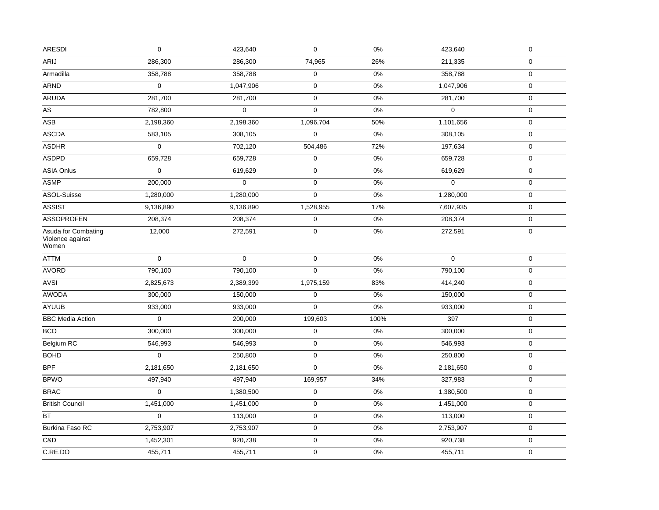| <b>ARESDI</b>                                    | $\mathbf 0$ | 423,640     | 0                   | 0%    | 423,640     | $\pmb{0}$   |
|--------------------------------------------------|-------------|-------------|---------------------|-------|-------------|-------------|
| ARIJ                                             | 286,300     | 286,300     | 74,965              | 26%   | 211,335     | 0           |
| Armadilla                                        | 358,788     | 358,788     | $\mathbf 0$         | 0%    | 358,788     | $\mathbf 0$ |
| <b>ARND</b>                                      | $\mathbf 0$ | 1,047,906   | 0                   | 0%    | 1,047,906   | $\mathbf 0$ |
| <b>ARUDA</b>                                     | 281,700     | 281,700     | $\mathbf 0$         | 0%    | 281,700     | $\mathbf 0$ |
| $\overline{AS}$                                  | 782,800     | $\Omega$    | $\mathsf{O}\xspace$ | 0%    | $\Omega$    | $\mathbf 0$ |
| ASB                                              | 2,198,360   | 2,198,360   | 1,096,704           | 50%   | 1,101,656   | $\mathbf 0$ |
| ASCDA                                            | 583,105     | 308,105     | 0                   | 0%    | 308,105     | $\mathbf 0$ |
| <b>ASDHR</b>                                     | $\mathbf 0$ | 702,120     | 504,486             | 72%   | 197,634     | $\mathbf 0$ |
| <b>ASDPD</b>                                     | 659,728     | 659,728     | 0                   | 0%    | 659,728     | $\pmb{0}$   |
| <b>ASIA Onlus</b>                                | $\mathbf 0$ | 619,629     | $\pmb{0}$           | $0\%$ | 619,629     | $\pmb{0}$   |
| <b>ASMP</b>                                      | 200,000     | $\mathbf 0$ | $\mathbf 0$         | 0%    | $\mathbf 0$ | $\mathbf 0$ |
| ASOL-Suisse                                      | 1,280,000   | 1,280,000   | $\mathbf 0$         | 0%    | 1,280,000   | 0           |
| <b>ASSIST</b>                                    | 9,136,890   | 9,136,890   | 1,528,955           | 17%   | 7,607,935   | $\mathbf 0$ |
| <b>ASSOPROFEN</b>                                | 208,374     | 208,374     | $\pmb{0}$           | 0%    | 208,374     | $\mathbf 0$ |
| Asuda for Combating<br>Violence against<br>Women | 12,000      | 272,591     | 0                   | $0\%$ | 272,591     | $\mathbf 0$ |
| ATTM                                             | $\mathbf 0$ | $\mathbf 0$ | 0                   | 0%    | $\mathbf 0$ | $\mathbf 0$ |
| <b>AVORD</b>                                     | 790,100     | 790,100     | $\mathbf 0$         | 0%    | 790,100     | $\mathbf 0$ |
| <b>AVSI</b>                                      | 2,825,673   | 2,389,399   | 1,975,159           | 83%   | 414,240     | $\mathbf 0$ |
| <b>AWODA</b>                                     | 300,000     | 150,000     | 0                   | 0%    | 150,000     | $\mathbf 0$ |
| <b>AYUUB</b>                                     | 933,000     | 933,000     | $\mathbf 0$         | 0%    | 933,000     | $\mathbf 0$ |
| <b>BBC Media Action</b>                          | $\mathbf 0$ | 200,000     | 199,603             | 100%  | 397         | $\mathbf 0$ |
| <b>BCO</b>                                       | 300,000     | 300,000     | $\mathbf 0$         | 0%    | 300,000     | $\mathbf 0$ |
| Belgium RC                                       | 546,993     | 546,993     | $\mathsf 0$         | 0%    | 546,993     | $\mathbf 0$ |
| <b>BOHD</b>                                      | $\mathbf 0$ | 250,800     | 0                   | 0%    | 250,800     | $\mathbf 0$ |
| <b>BPF</b>                                       | 2,181,650   | 2,181,650   | 0                   | $0\%$ | 2,181,650   | $\mathbf 0$ |
| <b>BPWO</b>                                      | 497,940     | 497,940     | 169,957             | 34%   | 327,983     | $\mathbf 0$ |
| <b>BRAC</b>                                      | $\Omega$    | 1,380,500   | 0                   | 0%    | 1,380,500   | $\mathbf 0$ |
| <b>British Council</b>                           | 1,451,000   | 1,451,000   | $\pmb{0}$           | $0\%$ | 1,451,000   | $\pmb{0}$   |
| BT                                               | $\mathbf 0$ | 113,000     | $\pmb{0}$           | 0%    | 113,000     | $\pmb{0}$   |
| Burkina Faso RC                                  | 2,753,907   | 2,753,907   | $\pmb{0}$           | 0%    | 2,753,907   | $\mathsf 0$ |
|                                                  |             |             |                     |       |             |             |
| C&D                                              | 1,452,301   | 920,738     | $\pmb{0}$           | 0%    | 920,738     | $\pmb{0}$   |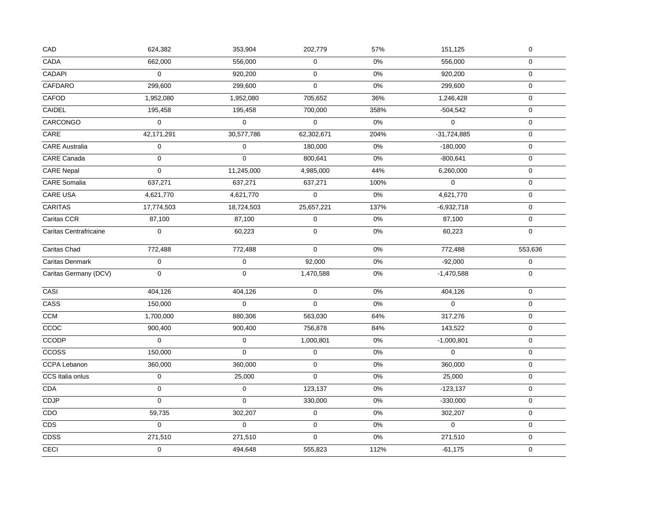| CAD                    | 624,382          | 353,904     | 202,779     | 57%   | 151,125       | $\pmb{0}$           |
|------------------------|------------------|-------------|-------------|-------|---------------|---------------------|
| CADA                   | 662,000          | 556,000     | $\mathbf 0$ | $0\%$ | 556,000       | $\mathbf 0$         |
| CADAPI                 | $\mathbf 0$      | 920,200     | $\pmb{0}$   | 0%    | 920,200       | $\mathbf 0$         |
| CAFDARO                | 299,600          | 299,600     | $\mathbf 0$ | 0%    | 299,600       | $\mathsf{O}\xspace$ |
| CAFOD                  | 1,952,080        | 1,952,080   | 705,652     | 36%   | 1,246,428     | $\mathbf 0$         |
| CAIDEL                 | 195,458          | 195,458     | 700,000     | 358%  | $-504,542$    | $\mathbf 0$         |
| CARCONGO               | $\mathbf 0$      | 0           | $\pmb{0}$   | 0%    | $\mathbf 0$   | $\mathsf{O}\xspace$ |
| $\mathsf{CARE}$        | 42,171,291       | 30,577,786  | 62,302,671  | 204%  | $-31,724,885$ | $\mathsf{O}\xspace$ |
| <b>CARE</b> Australia  | $\pmb{0}$        | $\mathbf 0$ | 180,000     | 0%    | $-180,000$    | $\mathbf 0$         |
| CARE Canada            | $\mathbf 0$      | $\mathsf 0$ | 800,641     | 0%    | $-800,641$    | $\mathsf{O}\xspace$ |
| <b>CARE Nepal</b>      | $\mathbf 0$      | 11,245,000  | 4,985,000   | 44%   | 6,260,000     | $\mathbf 0$         |
| CARE Somalia           | 637,271          | 637,271     | 637,271     | 100%  | $\mathbf 0$   | $\mathsf{O}\xspace$ |
| CARE USA               | 4,621,770        | 4,621,770   | $\mathbf 0$ | $0\%$ | 4,621,770     | $\mathsf{O}\xspace$ |
| <b>CARITAS</b>         | 17,774,503       | 18,724,503  | 25,657,221  | 137%  | $-6,932,718$  | $\mathbf 0$         |
| Caritas CCR            | 87,100           | 87,100      | $\mathbf 0$ | $0\%$ | 87,100        | $\mathbf 0$         |
| Caritas Centrafricaine | $\mathbf 0$      | 60,223      | $\mathbf 0$ | 0%    | 60,223        | $\mathbf 0$         |
| Caritas Chad           | 772,488          | 772,488     | $\mathbf 0$ | 0%    | 772,488       | 553,636             |
| Caritas Denmark        | $\mathsf 0$      | $\mathbf 0$ | 92,000      | 0%    | $-92,000$     | $\mathsf{O}\xspace$ |
| Caritas Germany (DCV)  | $\mathbf 0$      | $\mathbf 0$ | 1,470,588   | $0\%$ | $-1,470,588$  | $\mathbf 0$         |
| CASI                   | 404,126          | 404,126     | $\mathbf 0$ | 0%    | 404,126       | $\mathbf 0$         |
| CASS                   | 150,000          | $\mathbf 0$ | $\mathbf 0$ | 0%    | $\mathbf 0$   | $\mathsf{O}\xspace$ |
| <b>CCM</b>             | 1,700,000        | 880,306     | 563,030     | 64%   | 317,276       | $\mathsf{O}\xspace$ |
| $\overline{CCOC}$      | 900,400          | 900,400     | 756,878     | 84%   | 143,522       | $\mathsf{O}\xspace$ |
| CCODP                  | $\boldsymbol{0}$ | $\mathbf 0$ | 1,000,801   | 0%    | $-1,000,801$  | $\mathbf 0$         |
| <b>CCOSS</b>           | 150,000          | 0           | $\mathbf 0$ | $0\%$ | $\mathbf 0$   | $\mathbf 0$         |
| CCPA Lebanon           | 360,000          | 360,000     | $\mathbf 0$ | 0%    | 360,000       | $\mathsf{O}\xspace$ |
| CCS Italia onlus       | $\mathbf 0$      | 25,000      | $\mathbf 0$ | 0%    | 25,000        | $\mathsf{O}\xspace$ |
| CDA                    | $\mathbf 0$      | $\mathbf 0$ | 123,137     | $0\%$ | $-123,137$    | $\mathsf{O}\xspace$ |
| CDJP                   | 0                | $\mathbf 0$ | 330,000     | $0\%$ | $-330,000$    | $\mathsf{O}\xspace$ |
| CDO                    | 59,735           | 302,207     | $\pmb{0}$   | $0\%$ | 302,207       | $\mathsf{O}\xspace$ |
| $\overline{CDS}$       | $\mathsf 0$      | $\mathbf 0$ | $\pmb{0}$   | $0\%$ | $\Omega$      | $\mathsf{O}\xspace$ |
| <b>CDSS</b>            | 271,510          | 271,510     | $\mathbf 0$ | 0%    | 271,510       | $\mathbf 0$         |
| CECI                   | $\mathbf 0$      | 494,648     | 555,823     | 112%  | $-61,175$     | $\mathbf 0$         |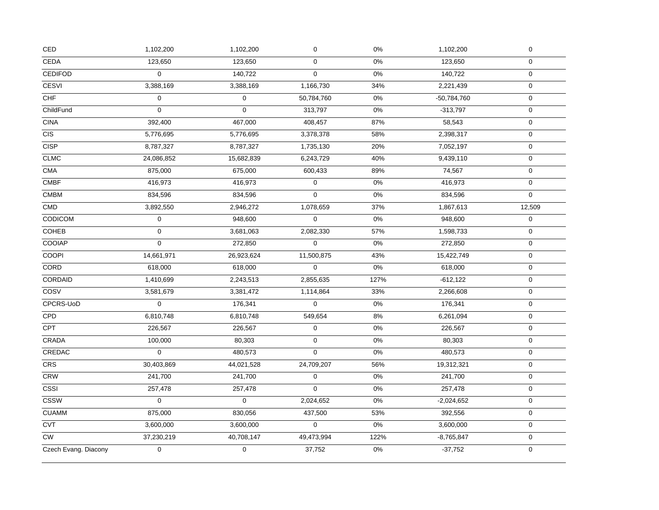| CED                  | 1,102,200      | 1,102,200   | $\mathbf 0$ | $0\%$ | 1,102,200     | $\mathsf{O}\xspace$ |
|----------------------|----------------|-------------|-------------|-------|---------------|---------------------|
| <b>CEDA</b>          | 123,650        | 123,650     | $\mathsf 0$ | $0\%$ | 123,650       | $\mathbf 0$         |
| <b>CEDIFOD</b>       | $\mathbf 0$    | 140,722     | 0           | $0\%$ | 140,722       | $\mathbf 0$         |
| <b>CESVI</b>         | 3,388,169      | 3,388,169   | 1,166,730   | 34%   | 2,221,439     | $\mathbf 0$         |
| CHF                  | $\mathbf{0}$   | $\mathbf 0$ | 50,784,760  | 0%    | $-50,784,760$ | $\mathbf 0$         |
| ChildFund            | 0              | $\mathbf 0$ | 313,797     | $0\%$ | $-313,797$    | $\mathbf 0$         |
| <b>CINA</b>          | 392,400        | 467,000     | 408,457     | 87%   | 58,543        | 0                   |
| CIS                  | 5,776,695      | 5,776,695   | 3,378,378   | 58%   | 2,398,317     | $\mathsf{O}\xspace$ |
| <b>CISP</b>          | 8,787,327      | 8,787,327   | 1,735,130   | 20%   | 7,052,197     | 0                   |
| <b>CLMC</b>          | 24,086,852     | 15,682,839  | 6,243,729   | 40%   | 9,439,110     | 0                   |
| CMA                  | 875,000        | 675,000     | 600,433     | 89%   | 74,567        | $\mathbf{0}$        |
| <b>CMBF</b>          | 416,973        | 416,973     | $\mathbf 0$ | $0\%$ | 416,973       | $\mathbf{0}$        |
| <b>CMBM</b>          | 834,596        | 834,596     | $\mathbf 0$ | $0\%$ | 834,596       | $\mathbf{0}$        |
| <b>CMD</b>           | 3,892,550      | 2,946,272   | 1,078,659   | 37%   | 1,867,613     | 12,509              |
| CODICOM              | $\mathbf 0$    | 948,600     | $\mathbf 0$ | $0\%$ | 948,600       | $\mathbf 0$         |
| <b>COHEB</b>         | $\mathbf 0$    | 3,681,063   | 2,082,330   | 57%   | 1,598,733     | $\mathbf 0$         |
| COOIAP               | 0              | 272,850     | 0           | $0\%$ | 272,850       | $\mathbf 0$         |
| <b>COOPI</b>         | 14,661,971     | 26,923,624  | 11,500,875  | 43%   | 15,422,749    | $\mathbf 0$         |
| CORD                 | 618,000        | 618,000     | $\mathbf 0$ | $0\%$ | 618,000       | $\mathsf{O}\xspace$ |
| CORDAID              | 1,410,699      | 2,243,513   | 2,855,635   | 127%  | $-612,122$    | 0                   |
| COSV                 | 3,581,679      | 3,381,472   | 1,114,864   | 33%   | 2,266,608     | $\mathbf 0$         |
| CPCRS-UoD            | $\Omega$       | 176,341     | $\Omega$    | $0\%$ | 176,341       | $\mathbf 0$         |
| CPD                  | 6,810,748      | 6,810,748   | 549,654     | 8%    | 6,261,094     | $\mathbf 0$         |
| CPT                  | 226,567        | 226,567     | $\pmb{0}$   | $0\%$ | 226,567       | $\mathbf 0$         |
| <b>CRADA</b>         | 100,000        | 80,303      | $\mathbf 0$ | $0\%$ | 80,303        | $\mathbf 0$         |
| CREDAC               | $\mathbf 0$    | 480,573     | 0           | $0\%$ | 480,573       | $\mathbf 0$         |
| <b>CRS</b>           | 30,403,869     | 44,021,528  | 24,709,207  | 56%   | 19,312,321    | $\mathbf{0}$        |
| <b>CRW</b>           | 241,700        | 241,700     | $\mathbf 0$ | $0\%$ | 241,700       | $\mathbf 0$         |
| <b>CSSI</b>          | 257,478        | 257,478     | $\mathbf 0$ | $0\%$ | 257,478       | $\mathbf 0$         |
| <b>CSSW</b>          | $\mathbf 0$    | $\mathbf 0$ | 2,024,652   | 0%    | $-2,024,652$  | $\mathbf 0$         |
| <b>CUAMM</b>         | 875,000        | 830,056     | 437,500     | 53%   | 392,556       | 0                   |
| <b>CVT</b>           | 3,600,000      | 3,600,000   | $\mathbf 0$ | $0\%$ | 3,600,000     | $\mathbf 0$         |
| <b>CW</b>            | 37,230,219     | 40,708,147  | 49,473,994  | 122%  | $-8,765,847$  | $\mathsf{O}\xspace$ |
| Czech Evang. Diacony | $\overline{0}$ | $\Omega$    | 37,752      | $0\%$ | $-37,752$     | 0                   |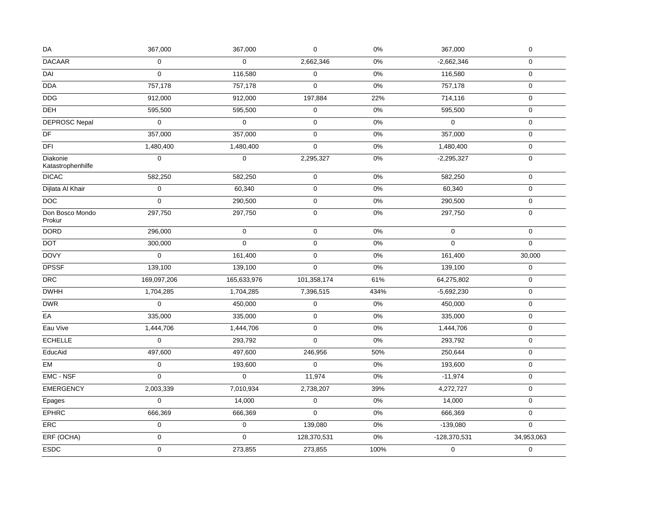| DA                            | 367,000     | 367,000     | $\pmb{0}$   | $0\%$ | 367,000      | $\pmb{0}$        |
|-------------------------------|-------------|-------------|-------------|-------|--------------|------------------|
| <b>DACAAR</b>                 | $\mathbf 0$ | $\mathbf 0$ | 2,662,346   | 0%    | $-2,662,346$ | $\mathbf 0$      |
| DAI                           | 0           | 116,580     | $\mathbf 0$ | 0%    | 116,580      | $\mathbf 0$      |
| <b>DDA</b>                    | 757,178     | 757,178     | $\mathbf 0$ | 0%    | 757,178      | $\pmb{0}$        |
| $\overline{DDG}$              | 912,000     | 912,000     | 197,884     | 22%   | 714,116      | $\mathbf 0$      |
| <b>DEH</b>                    | 595,500     | 595,500     | 0           | 0%    | 595,500      | $\boldsymbol{0}$ |
| <b>DEPROSC Nepal</b>          | $\mathbf 0$ | $\pmb{0}$   | $\pmb{0}$   | 0%    | $\mathbf 0$  | $\pmb{0}$        |
| DF                            | 357,000     | 357,000     | $\pmb{0}$   | $0\%$ | 357,000      | $\pmb{0}$        |
| DFI                           | 1,480,400   | 1,480,400   | $\pmb{0}$   | 0%    | 1,480,400    | $\pmb{0}$        |
| Diakonie<br>Katastrophenhilfe | $\mathbf 0$ | $\mathbf 0$ | 2,295,327   | 0%    | $-2,295,327$ | $\pmb{0}$        |
| <b>DICAC</b>                  | 582,250     | 582,250     | $\mathbf 0$ | 0%    | 582,250      | $\boldsymbol{0}$ |
| Dijlata Al Khair              | $\mathbf 0$ | 60,340      | $\pmb{0}$   | $0\%$ | 60,340       | $\pmb{0}$        |
| $\mathsf{DOC}$                | $\mathsf 0$ | 290,500     | $\pmb{0}$   | $0\%$ | 290,500      | $\pmb{0}$        |
| Don Bosco Mondo<br>Prokur     | 297,750     | 297,750     | $\pmb{0}$   | 0%    | 297,750      | $\boldsymbol{0}$ |
| <b>DORD</b>                   | 296,000     | $\mathsf 0$ | $\pmb{0}$   | 0%    | $\mathbf 0$  | $\mathbf 0$      |
| <b>DOT</b>                    | 300,000     | $\mathbf 0$ | $\pmb{0}$   | 0%    | $\Omega$     | $\mathbf 0$      |
| <b>DOVY</b>                   | $\mathbf 0$ | 161,400     | $\pmb{0}$   | 0%    | 161,400      | 30,000           |
| <b>DPSSF</b>                  | 139,100     | 139,100     | $\mathsf 0$ | $0\%$ | 139,100      | $\pmb{0}$        |
| DRC                           | 169,097,206 | 165,633,976 | 101,358,174 | 61%   | 64,275,802   | $\pmb{0}$        |
| <b>DWHH</b>                   | 1,704,285   | 1,704,285   | 7,396,515   | 434%  | $-5,692,230$ | $\pmb{0}$        |
| <b>DWR</b>                    | $\mathbf 0$ | 450,000     | $\mathsf 0$ | 0%    | 450,000      | $\mathbf 0$      |
| EA                            | 335,000     | 335,000     | $\pmb{0}$   | 0%    | 335,000      | $\pmb{0}$        |
| Eau Vive                      | 1,444,706   | 1,444,706   | $\pmb{0}$   | $0\%$ | 1,444,706    | $\boldsymbol{0}$ |
| <b>ECHELLE</b>                | $\mathbf 0$ | 293,792     | 0           | $0\%$ | 293,792      | $\mathbf 0$      |
| EducAid                       | 497,600     | 497,600     | 246,956     | 50%   | 250,644      | $\pmb{0}$        |
| EM                            | $\mathbf 0$ | 193,600     | $\mathbf 0$ | 0%    | 193,600      | 0                |
| EMC - NSF                     | $\mathbf 0$ | $\mathbf 0$ | 11,974      | 0%    | $-11,974$    | $\mathbf 0$      |
| <b>EMERGENCY</b>              | 2,003,339   | 7,010,934   | 2,738,207   | 39%   | 4,272,727    | $\pmb{0}$        |
| Epages                        | $\mathsf 0$ | 14,000      | $\pmb{0}$   | $0\%$ | 14,000       | $\mathbf 0$      |
| <b>EPHRC</b>                  | 666,369     | 666,369     | 0           | $0\%$ | 666,369      | $\pmb{0}$        |
| ERC                           | $\pmb{0}$   | $\pmb{0}$   | 139,080     | 0%    | $-139,080$   | $\Omega$         |
| ERF (OCHA)                    | $\mathsf 0$ | $\Omega$    | 128,370,531 | 0%    | -128,370,531 | 34,953,063       |
| <b>ESDC</b>                   | $\mathsf 0$ | 273,855     | 273,855     | 100%  | $\mathbf 0$  | $\mathbf 0$      |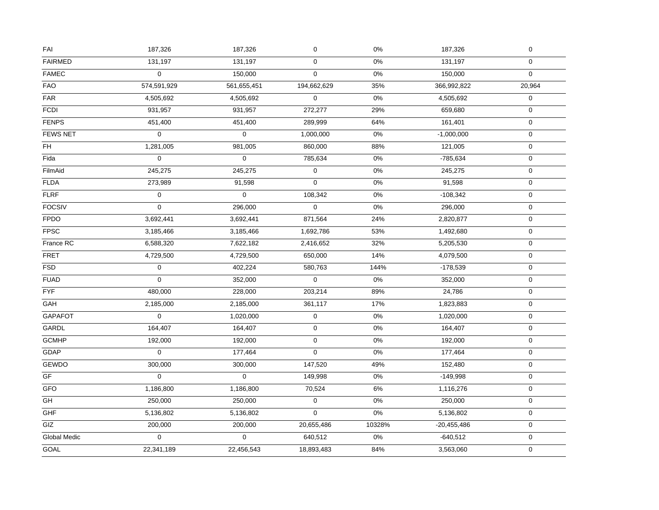| FAI                 | 187,326             | 187,326     | $\pmb{0}$    | $0\%$  | 187,326       | $\pmb{0}$        |
|---------------------|---------------------|-------------|--------------|--------|---------------|------------------|
| <b>FAIRMED</b>      | 131,197             | 131,197     | $\mathbf 0$  | $0\%$  | 131,197       | $\mathbf 0$      |
| <b>FAMEC</b>        | $\pmb{0}$           | 150,000     | 0            | $0\%$  | 150,000       | $\mathbf 0$      |
| <b>FAO</b>          | 574,591,929         | 561,655,451 | 194,662,629  | 35%    | 366,992,822   | 20,964           |
| FAR                 | 4,505,692           | 4,505,692   | $\mathbf{0}$ | 0%     | 4,505,692     | $\mathbf 0$      |
| <b>FCDI</b>         | 931,957             | 931,957     | 272,277      | 29%    | 659,680       | $\mathbf 0$      |
| <b>FENPS</b>        | 451,400             | 451,400     | 289,999      | 64%    | 161,401       | $\pmb{0}$        |
| <b>FEWS NET</b>     | $\pmb{0}$           | $\pmb{0}$   | 1,000,000    | $0\%$  | $-1,000,000$  | $\pmb{0}$        |
| FH                  | 1,281,005           | 981,005     | 860,000      | 88%    | 121,005       | $\pmb{0}$        |
| Fida                | $\mathbf 0$         | $\mathbf 0$ | 785,634      | $0\%$  | $-785,634$    | 0                |
| FilmAid             | 245,275             | 245,275     | $\pmb{0}$    | 0%     | 245,275       | 0                |
| <b>FLDA</b>         | 273,989             | 91,598      | $\mathsf 0$  | 0%     | 91,598        | $\pmb{0}$        |
| <b>FLRF</b>         | $\mathsf{O}\xspace$ | $\mathbf 0$ | 108,342      | $0\%$  | $-108,342$    | $\mathbf 0$      |
| <b>FOCSIV</b>       | $\mathbf 0$         | 296,000     | 0            | 0%     | 296,000       | $\mathbf 0$      |
| <b>FPDO</b>         | 3,692,441           | 3,692,441   | 871,564      | 24%    | 2,820,877     | $\pmb{0}$        |
| <b>FPSC</b>         | 3,185,466           | 3,185,466   | 1,692,786    | 53%    | 1,492,680     | $\mathbf 0$      |
| France RC           | 6,588,320           | 7,622,182   | 2,416,652    | 32%    | 5,205,530     | $\boldsymbol{0}$ |
| <b>FRET</b>         | 4,729,500           | 4,729,500   | 650,000      | 14%    | 4,079,500     | $\pmb{0}$        |
| <b>FSD</b>          | $\pmb{0}$           | 402,224     | 580,763      | 144%   | $-178,539$    | $\pmb{0}$        |
| <b>FUAD</b>         | 0                   | 352,000     | $\mathbf 0$  | $0\%$  | 352,000       | $\pmb{0}$        |
| FYF                 | 480,000             | 228,000     | 203,214      | 89%    | 24,786        | $\pmb{0}$        |
| GAH                 | 2,185,000           | 2,185,000   | 361,117      | 17%    | 1,823,883     | $\mathbf 0$      |
| <b>GAPAFOT</b>      | 0                   | 1,020,000   | $\pmb{0}$    | 0%     | 1,020,000     | $\pmb{0}$        |
| <b>GARDL</b>        | 164,407             | 164,407     | $\mathbf 0$  | $0\%$  | 164,407       | $\mathbf 0$      |
| <b>GCMHP</b>        | 192,000             | 192,000     | 0            | 0%     | 192,000       | $\mathbf 0$      |
| GDAP                | $\mathbf 0$         | 177,464     | $\mathbf 0$  | $0\%$  | 177,464       | $\pmb{0}$        |
| <b>GEWDO</b>        | 300,000             | 300,000     | 147,520      | 49%    | 152,480       | 0                |
| GF                  | 0                   | $\mathbf 0$ | 149,998      | 0%     | $-149,998$    | $\mathbf 0$      |
| GFO                 | 1,186,800           | 1,186,800   | 70,524       | $6\%$  | 1,116,276     | $\pmb{0}$        |
| GH                  | 250,000             | 250,000     | $\pmb{0}$    | 0%     | 250,000       | $\pmb{0}$        |
| GHF                 | 5,136,802           | 5,136,802   | 0            | $0\%$  | 5,136,802     | $\pmb{0}$        |
| GIZ                 | 200,000             | 200,000     | 20,655,486   | 10328% | $-20,455,486$ | $\pmb{0}$        |
| <b>Global Medic</b> | $\overline{0}$      | $\mathbf 0$ | 640,512      | 0%     | $-640,512$    | $\boldsymbol{0}$ |
| GOAL                | 22,341,189          | 22,456,543  | 18,893,483   | 84%    | 3,563,060     | $\mathbf 0$      |
|                     |                     |             |              |        |               |                  |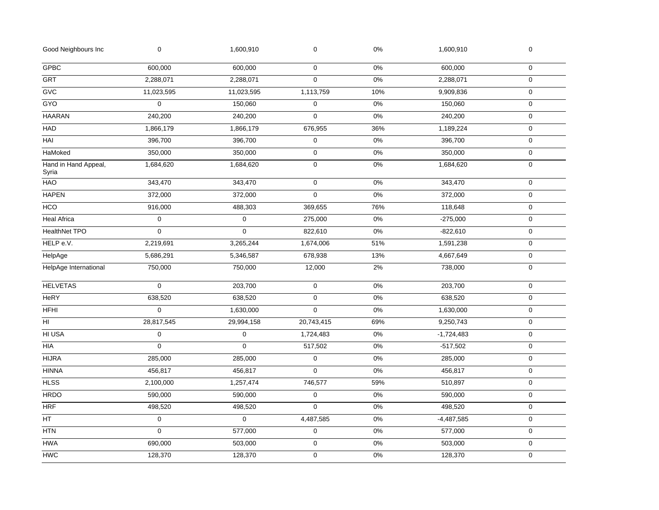| Good Neighbours Inc           | 0                | 1,600,910   | 0           | 0%  | 1,600,910    | 0                   |  |
|-------------------------------|------------------|-------------|-------------|-----|--------------|---------------------|--|
| <b>GPBC</b>                   | 600,000          | 600,000     | 0           | 0%  | 600,000      | $\mathbf 0$         |  |
| <b>GRT</b>                    | 2,288,071        | 2,288,071   | $\pmb{0}$   | 0%  | 2,288,071    | $\mathbf 0$         |  |
| <b>GVC</b>                    | 11,023,595       | 11,023,595  | 1,113,759   | 10% | 9,909,836    | $\mathbf 0$         |  |
| GYO                           | $\mathbf 0$      | 150,060     | 0           | 0%  | 150,060      | 0                   |  |
| <b>HAARAN</b>                 | 240,200          | 240,200     | $\mathbf 0$ | 0%  | 240,200      | $\mathbf 0$         |  |
| HAD                           | 1,866,179        | 1,866,179   | 676,955     | 36% | 1,189,224    | $\mathsf{O}\xspace$ |  |
| HAI                           | 396,700          | 396,700     | $\mathbf 0$ | 0%  | 396,700      | $\mathbf 0$         |  |
| HaMoked                       | 350,000          | 350,000     | $\mathbf 0$ | 0%  | 350,000      | $\mathbf 0$         |  |
| Hand in Hand Appeal,<br>Syria | 1,684,620        | 1,684,620   | $\mathbf 0$ | 0%  | 1,684,620    | $\mathbf 0$         |  |
| HAO                           | 343,470          | 343,470     | 0           | 0%  | 343,470      | $\mathbf 0$         |  |
| <b>HAPEN</b>                  | 372,000          | 372,000     | $\pmb{0}$   | 0%  | 372,000      | 0                   |  |
| <b>HCO</b>                    | 916,000          | 488,303     | 369,655     | 76% | 118,648      | $\mathbf 0$         |  |
| <b>Heal Africa</b>            | $\mathbf 0$      | $\mathbf 0$ | 275,000     | 0%  | $-275,000$   | $\mathbf 0$         |  |
| HealthNet TPO                 | $\mathbf 0$      | $\mathbf 0$ | 822,610     | 0%  | $-822,610$   | 0                   |  |
| HELP e.V.                     | 2,219,691        | 3,265,244   | 1,674,006   | 51% | 1,591,238    | $\mathbf 0$         |  |
| HelpAge                       | 5,686,291        | 5,346,587   | 678,938     | 13% | 4,667,649    | 0                   |  |
| HelpAge International         | 750,000          | 750,000     | 12,000      | 2%  | 738,000      | $\mathsf{O}\xspace$ |  |
| <b>HELVETAS</b>               | $\boldsymbol{0}$ | 203,700     | $\pmb{0}$   | 0%  | 203,700      | $\mathbf 0$         |  |
| <b>HeRY</b>                   | 638,520          | 638,520     | $\mathbf 0$ | 0%  | 638,520      | 0                   |  |
| <b>HFHI</b>                   | $\pmb{0}$        | 1,630,000   | 0           | 0%  | 1,630,000    | $\mathbf 0$         |  |
| HI                            | 28,817,545       | 29,994,158  | 20,743,415  | 69% | 9,250,743    | $\mathbf 0$         |  |
| HI USA                        | 0                | 0           | 1,724,483   | 0%  | $-1,724,483$ | 0                   |  |
| <b>HIA</b>                    | $\mathbf 0$      | $\mathbf 0$ | 517,502     | 0%  | $-517,502$   | $\mathbf 0$         |  |
| <b>HIJRA</b>                  | 285,000          | 285,000     | $\pmb{0}$   | 0%  | 285,000      | $\mathbf 0$         |  |
| <b>HINNA</b>                  | 456,817          | 456,817     | 0           | 0%  | 456,817      | $\mathbf 0$         |  |
| <b>HLSS</b>                   | 2,100,000        | 1,257,474   | 746,577     | 59% | 510,897      | 0                   |  |
| <b>HRDO</b>                   | 590,000          | 590,000     | 0           | 0%  | 590,000      | $\mathbf 0$         |  |
| <b>HRF</b>                    | 498,520          | 498,520     | $\mathbf 0$ | 0%  | 498,520      | 0                   |  |
| HT                            | 0                | $\mathbf 0$ | 4,487,585   | 0%  | $-4,487,585$ | 0                   |  |
| <b>HTN</b>                    | $\boldsymbol{0}$ | 577,000     | $\mathbf 0$ | 0%  | 577,000      | $\mathbf 0$         |  |
| <b>HWA</b>                    | 690,000          | 503,000     | 0           | 0%  | 503,000      | $\mathsf{O}\xspace$ |  |
| <b>HWC</b>                    | 128,370          | 128,370     | 0           | 0%  | 128,370      | 0                   |  |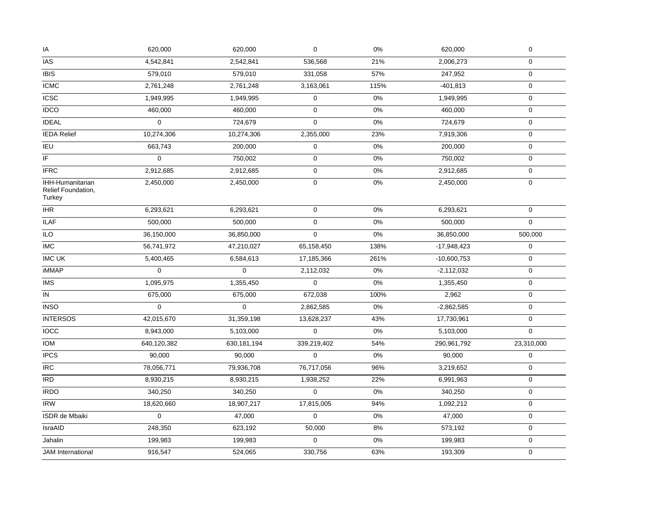| <b>IAS</b><br>4,542,841<br>2,542,841<br>536,568<br>21%<br>2,006,273<br>$\mathbf 0$<br><b>IBIS</b><br>579,010<br>579,010<br>331,058<br>57%<br>247,952<br>$\pmb{0}$<br><b>ICMC</b><br>2,761,248<br>2,761,248<br>3,163,061<br>115%<br>$-401,813$<br>$\pmb{0}$<br><b>ICSC</b><br>$\mathbf 0$<br>$0\%$<br>1,949,995<br>1,949,995<br>1,949,995<br>$\pmb{0}$<br><b>IDCO</b><br>460,000<br>0<br>0%<br>460,000<br>460,000<br>$\mathbf 0$<br><b>IDEAL</b><br>$\mathbf 0$<br>$\mathbf 0$<br>$0\%$<br>$\pmb{0}$<br>724,679<br>724,679<br>$\pmb{0}$<br><b>IEDA Relief</b><br>10,274,306<br>10,274,306<br>2,355,000<br>23%<br>7,919,306<br>$\mathbf 0$<br>IEU<br>663,743<br>200,000<br>0%<br>200,000<br>$\pmb{0}$<br>$\overline{\mathbb{F}}$<br>$\mathbf 0$<br>750,002<br>$\pmb{0}$<br>$0\%$<br>750,002<br>$\pmb{0}$<br><b>IFRC</b><br>2,912,685<br>2,912,685<br>$\mathbf 0$<br>0%<br>2,912,685<br>$\pmb{0}$<br>IHH-Humanitarian<br>$\mathbf 0$<br>0%<br>$\mathbf 0$<br>2,450,000<br>2,450,000<br>2,450,000<br>Relief Foundation,<br>Turkey<br>$\ensuremath{\mathsf{IHR}}$<br>6,293,621<br>6,293,621<br>$\mathbf 0$<br>0%<br>6,293,621<br>$\mathbf 0$<br><b>ILAF</b><br>$\pmb{0}$<br>0%<br>$\mathbf 0$<br>500,000<br>500,000<br>500,000<br>$\mathsf 0$<br>ILO<br>0%<br>36,150,000<br>36,850,000<br>36,850,000<br>500,000<br><b>IMC</b><br>56,741,972<br>47,210,027<br>65,158,450<br>138%<br>$-17,948,423$<br>$\pmb{0}$<br><b>IMC UK</b><br>5,400,465<br>6,584,613<br>17,185,366<br>261%<br>$-10,600,753$<br>$\pmb{0}$<br><b>iMMAP</b><br>$\mathbf 0$<br>$\mathbf 0$<br>$0\%$<br>2,112,032<br>$-2,112,032$<br>$\pmb{0}$<br>1,095,975<br>$\mathbf 0$<br>$0\%$<br>$\pmb{0}$<br><b>IMS</b><br>1,355,450<br>1,355,450<br>IN<br>672,038<br>100%<br>2,962<br>$\mathbf 0$<br>675,000<br>675,000<br>$\mathbf 0$<br>$\mathbf 0$<br>0%<br><b>INSO</b><br>2,862,585<br>$-2,862,585$<br>$\pmb{0}$<br><b>INTERSOS</b><br>42,015,670<br>31,359,198<br>$\mathbf 0$<br>13,628,237<br>43%<br>17,730,961 | IA | 620,000 | 620,000 | $\mathbf 0$ | $0\%$ | 620,000 | $\pmb{0}$ |  |
|-------------------------------------------------------------------------------------------------------------------------------------------------------------------------------------------------------------------------------------------------------------------------------------------------------------------------------------------------------------------------------------------------------------------------------------------------------------------------------------------------------------------------------------------------------------------------------------------------------------------------------------------------------------------------------------------------------------------------------------------------------------------------------------------------------------------------------------------------------------------------------------------------------------------------------------------------------------------------------------------------------------------------------------------------------------------------------------------------------------------------------------------------------------------------------------------------------------------------------------------------------------------------------------------------------------------------------------------------------------------------------------------------------------------------------------------------------------------------------------------------------------------------------------------------------------------------------------------------------------------------------------------------------------------------------------------------------------------------------------------------------------------------------------------------------------------------------------------------------------------------------------------------------------------------------------------------------------------------|----|---------|---------|-------------|-------|---------|-----------|--|
|                                                                                                                                                                                                                                                                                                                                                                                                                                                                                                                                                                                                                                                                                                                                                                                                                                                                                                                                                                                                                                                                                                                                                                                                                                                                                                                                                                                                                                                                                                                                                                                                                                                                                                                                                                                                                                                                                                                                                                         |    |         |         |             |       |         |           |  |
|                                                                                                                                                                                                                                                                                                                                                                                                                                                                                                                                                                                                                                                                                                                                                                                                                                                                                                                                                                                                                                                                                                                                                                                                                                                                                                                                                                                                                                                                                                                                                                                                                                                                                                                                                                                                                                                                                                                                                                         |    |         |         |             |       |         |           |  |
|                                                                                                                                                                                                                                                                                                                                                                                                                                                                                                                                                                                                                                                                                                                                                                                                                                                                                                                                                                                                                                                                                                                                                                                                                                                                                                                                                                                                                                                                                                                                                                                                                                                                                                                                                                                                                                                                                                                                                                         |    |         |         |             |       |         |           |  |
|                                                                                                                                                                                                                                                                                                                                                                                                                                                                                                                                                                                                                                                                                                                                                                                                                                                                                                                                                                                                                                                                                                                                                                                                                                                                                                                                                                                                                                                                                                                                                                                                                                                                                                                                                                                                                                                                                                                                                                         |    |         |         |             |       |         |           |  |
|                                                                                                                                                                                                                                                                                                                                                                                                                                                                                                                                                                                                                                                                                                                                                                                                                                                                                                                                                                                                                                                                                                                                                                                                                                                                                                                                                                                                                                                                                                                                                                                                                                                                                                                                                                                                                                                                                                                                                                         |    |         |         |             |       |         |           |  |
|                                                                                                                                                                                                                                                                                                                                                                                                                                                                                                                                                                                                                                                                                                                                                                                                                                                                                                                                                                                                                                                                                                                                                                                                                                                                                                                                                                                                                                                                                                                                                                                                                                                                                                                                                                                                                                                                                                                                                                         |    |         |         |             |       |         |           |  |
|                                                                                                                                                                                                                                                                                                                                                                                                                                                                                                                                                                                                                                                                                                                                                                                                                                                                                                                                                                                                                                                                                                                                                                                                                                                                                                                                                                                                                                                                                                                                                                                                                                                                                                                                                                                                                                                                                                                                                                         |    |         |         |             |       |         |           |  |
|                                                                                                                                                                                                                                                                                                                                                                                                                                                                                                                                                                                                                                                                                                                                                                                                                                                                                                                                                                                                                                                                                                                                                                                                                                                                                                                                                                                                                                                                                                                                                                                                                                                                                                                                                                                                                                                                                                                                                                         |    |         |         |             |       |         |           |  |
|                                                                                                                                                                                                                                                                                                                                                                                                                                                                                                                                                                                                                                                                                                                                                                                                                                                                                                                                                                                                                                                                                                                                                                                                                                                                                                                                                                                                                                                                                                                                                                                                                                                                                                                                                                                                                                                                                                                                                                         |    |         |         |             |       |         |           |  |
|                                                                                                                                                                                                                                                                                                                                                                                                                                                                                                                                                                                                                                                                                                                                                                                                                                                                                                                                                                                                                                                                                                                                                                                                                                                                                                                                                                                                                                                                                                                                                                                                                                                                                                                                                                                                                                                                                                                                                                         |    |         |         |             |       |         |           |  |
|                                                                                                                                                                                                                                                                                                                                                                                                                                                                                                                                                                                                                                                                                                                                                                                                                                                                                                                                                                                                                                                                                                                                                                                                                                                                                                                                                                                                                                                                                                                                                                                                                                                                                                                                                                                                                                                                                                                                                                         |    |         |         |             |       |         |           |  |
|                                                                                                                                                                                                                                                                                                                                                                                                                                                                                                                                                                                                                                                                                                                                                                                                                                                                                                                                                                                                                                                                                                                                                                                                                                                                                                                                                                                                                                                                                                                                                                                                                                                                                                                                                                                                                                                                                                                                                                         |    |         |         |             |       |         |           |  |
|                                                                                                                                                                                                                                                                                                                                                                                                                                                                                                                                                                                                                                                                                                                                                                                                                                                                                                                                                                                                                                                                                                                                                                                                                                                                                                                                                                                                                                                                                                                                                                                                                                                                                                                                                                                                                                                                                                                                                                         |    |         |         |             |       |         |           |  |
|                                                                                                                                                                                                                                                                                                                                                                                                                                                                                                                                                                                                                                                                                                                                                                                                                                                                                                                                                                                                                                                                                                                                                                                                                                                                                                                                                                                                                                                                                                                                                                                                                                                                                                                                                                                                                                                                                                                                                                         |    |         |         |             |       |         |           |  |
|                                                                                                                                                                                                                                                                                                                                                                                                                                                                                                                                                                                                                                                                                                                                                                                                                                                                                                                                                                                                                                                                                                                                                                                                                                                                                                                                                                                                                                                                                                                                                                                                                                                                                                                                                                                                                                                                                                                                                                         |    |         |         |             |       |         |           |  |
|                                                                                                                                                                                                                                                                                                                                                                                                                                                                                                                                                                                                                                                                                                                                                                                                                                                                                                                                                                                                                                                                                                                                                                                                                                                                                                                                                                                                                                                                                                                                                                                                                                                                                                                                                                                                                                                                                                                                                                         |    |         |         |             |       |         |           |  |
|                                                                                                                                                                                                                                                                                                                                                                                                                                                                                                                                                                                                                                                                                                                                                                                                                                                                                                                                                                                                                                                                                                                                                                                                                                                                                                                                                                                                                                                                                                                                                                                                                                                                                                                                                                                                                                                                                                                                                                         |    |         |         |             |       |         |           |  |
|                                                                                                                                                                                                                                                                                                                                                                                                                                                                                                                                                                                                                                                                                                                                                                                                                                                                                                                                                                                                                                                                                                                                                                                                                                                                                                                                                                                                                                                                                                                                                                                                                                                                                                                                                                                                                                                                                                                                                                         |    |         |         |             |       |         |           |  |
|                                                                                                                                                                                                                                                                                                                                                                                                                                                                                                                                                                                                                                                                                                                                                                                                                                                                                                                                                                                                                                                                                                                                                                                                                                                                                                                                                                                                                                                                                                                                                                                                                                                                                                                                                                                                                                                                                                                                                                         |    |         |         |             |       |         |           |  |
|                                                                                                                                                                                                                                                                                                                                                                                                                                                                                                                                                                                                                                                                                                                                                                                                                                                                                                                                                                                                                                                                                                                                                                                                                                                                                                                                                                                                                                                                                                                                                                                                                                                                                                                                                                                                                                                                                                                                                                         |    |         |         |             |       |         |           |  |
|                                                                                                                                                                                                                                                                                                                                                                                                                                                                                                                                                                                                                                                                                                                                                                                                                                                                                                                                                                                                                                                                                                                                                                                                                                                                                                                                                                                                                                                                                                                                                                                                                                                                                                                                                                                                                                                                                                                                                                         |    |         |         |             |       |         |           |  |
| <b>IOCC</b><br>$\mathbf 0$<br>0%<br>$\overline{5,}103,000$<br>$\mathbf 0$<br>8,943,000<br>5,103,000                                                                                                                                                                                                                                                                                                                                                                                                                                                                                                                                                                                                                                                                                                                                                                                                                                                                                                                                                                                                                                                                                                                                                                                                                                                                                                                                                                                                                                                                                                                                                                                                                                                                                                                                                                                                                                                                     |    |         |         |             |       |         |           |  |
| <b>IOM</b><br>630, 181, 194<br>339,219,402<br>23,310,000<br>640,120,382<br>54%<br>290,961,792                                                                                                                                                                                                                                                                                                                                                                                                                                                                                                                                                                                                                                                                                                                                                                                                                                                                                                                                                                                                                                                                                                                                                                                                                                                                                                                                                                                                                                                                                                                                                                                                                                                                                                                                                                                                                                                                           |    |         |         |             |       |         |           |  |
| <b>IPCS</b><br>$\mathbf{0}$<br>90,000<br>90,000<br>0%<br>90,000<br>$\mathbf 0$                                                                                                                                                                                                                                                                                                                                                                                                                                                                                                                                                                                                                                                                                                                                                                                                                                                                                                                                                                                                                                                                                                                                                                                                                                                                                                                                                                                                                                                                                                                                                                                                                                                                                                                                                                                                                                                                                          |    |         |         |             |       |         |           |  |
| <b>IRC</b><br>79,936,708<br>78,056,771<br>76,717,056<br>96%<br>3,219,652<br>$\mathbf 0$                                                                                                                                                                                                                                                                                                                                                                                                                                                                                                                                                                                                                                                                                                                                                                                                                                                                                                                                                                                                                                                                                                                                                                                                                                                                                                                                                                                                                                                                                                                                                                                                                                                                                                                                                                                                                                                                                 |    |         |         |             |       |         |           |  |
| <b>IRD</b><br>1,938,252<br>22%<br>6,991,963<br>$\mathbf 0$<br>8,930,215<br>8,930,215                                                                                                                                                                                                                                                                                                                                                                                                                                                                                                                                                                                                                                                                                                                                                                                                                                                                                                                                                                                                                                                                                                                                                                                                                                                                                                                                                                                                                                                                                                                                                                                                                                                                                                                                                                                                                                                                                    |    |         |         |             |       |         |           |  |
| $\mathbf{0}$<br>$\mathsf 0$<br><b>IRDO</b><br>340,250<br>340,250<br>0%<br>340,250                                                                                                                                                                                                                                                                                                                                                                                                                                                                                                                                                                                                                                                                                                                                                                                                                                                                                                                                                                                                                                                                                                                                                                                                                                                                                                                                                                                                                                                                                                                                                                                                                                                                                                                                                                                                                                                                                       |    |         |         |             |       |         |           |  |
| <b>IRW</b><br>18,620,660<br>18,907,217<br>17,815,005<br>94%<br>1,092,212<br>$\pmb{0}$                                                                                                                                                                                                                                                                                                                                                                                                                                                                                                                                                                                                                                                                                                                                                                                                                                                                                                                                                                                                                                                                                                                                                                                                                                                                                                                                                                                                                                                                                                                                                                                                                                                                                                                                                                                                                                                                                   |    |         |         |             |       |         |           |  |
| <b>ISDR</b> de Mbaiki<br>$\mathbf 0$<br>$\mathbf 0$<br>$0\%$<br>47,000<br>47,000<br>$\pmb{0}$                                                                                                                                                                                                                                                                                                                                                                                                                                                                                                                                                                                                                                                                                                                                                                                                                                                                                                                                                                                                                                                                                                                                                                                                                                                                                                                                                                                                                                                                                                                                                                                                                                                                                                                                                                                                                                                                           |    |         |         |             |       |         |           |  |
| $\pmb{0}$<br>IsraAID<br>248,350<br>623,192<br>50,000<br>8%<br>573,192                                                                                                                                                                                                                                                                                                                                                                                                                                                                                                                                                                                                                                                                                                                                                                                                                                                                                                                                                                                                                                                                                                                                                                                                                                                                                                                                                                                                                                                                                                                                                                                                                                                                                                                                                                                                                                                                                                   |    |         |         |             |       |         |           |  |
| $\mathbf 0$<br>0%<br>Jahalin<br>199,983<br>199,983<br>199,983<br>$\mathbf 0$                                                                                                                                                                                                                                                                                                                                                                                                                                                                                                                                                                                                                                                                                                                                                                                                                                                                                                                                                                                                                                                                                                                                                                                                                                                                                                                                                                                                                                                                                                                                                                                                                                                                                                                                                                                                                                                                                            |    |         |         |             |       |         |           |  |
| $\mathbf 0$<br><b>JAM</b> International<br>916,547<br>524,065<br>330,756<br>63%<br>193,309                                                                                                                                                                                                                                                                                                                                                                                                                                                                                                                                                                                                                                                                                                                                                                                                                                                                                                                                                                                                                                                                                                                                                                                                                                                                                                                                                                                                                                                                                                                                                                                                                                                                                                                                                                                                                                                                              |    |         |         |             |       |         |           |  |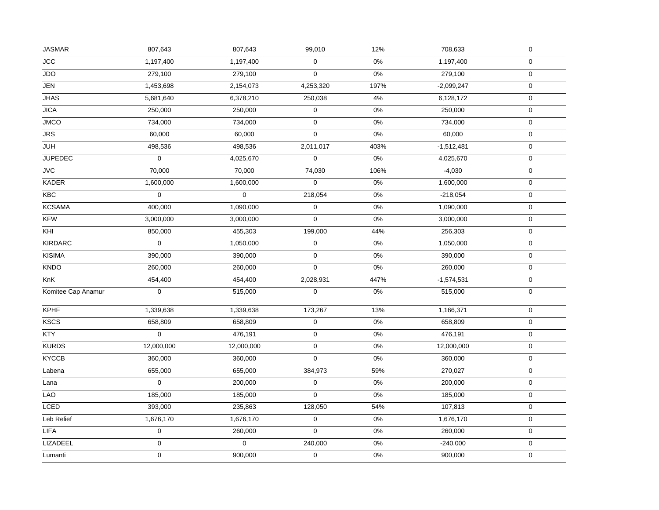| <b>JASMAR</b>      | 807,643             | 807,643     | 99,010         | 12%   | 708,633      | $\mathsf{O}\xspace$ |  |
|--------------------|---------------------|-------------|----------------|-------|--------------|---------------------|--|
| <b>JCC</b>         | 1,197,400           | 1,197,400   | 0              | 0%    | 1,197,400    | $\pmb{0}$           |  |
| <b>JDO</b>         | 279,100             | 279,100     | 0              | 0%    | 279,100      | $\pmb{0}$           |  |
| JEN                | 1,453,698           | 2,154,073   | 4,253,320      | 197%  | $-2,099,247$ | $\pmb{0}$           |  |
| <b>JHAS</b>        | 5,681,640           | 6,378,210   | 250,038        | $4\%$ | 6,128,172    | $\mathsf{O}\xspace$ |  |
| <b>JICA</b>        | 250,000             | 250,000     | 0              | 0%    | 250,000      | $\pmb{0}$           |  |
| <b>JMCO</b>        | 734,000             | 734,000     | 0              | $0\%$ | 734,000      | $\mathsf{O}\xspace$ |  |
| <b>JRS</b>         | 60,000              | 60,000      | 0              | $0\%$ | 60,000       | $\mathbf 0$         |  |
| <b>JUH</b>         | 498,536             | 498,536     | 2,011,017      | 403%  | $-1,512,481$ | $\mathsf 0$         |  |
| <b>JUPEDEC</b>     | $\boldsymbol{0}$    | 4,025,670   | 0              | 0%    | 4,025,670    | $\pmb{0}$           |  |
| JVC                | 70,000              | 70,000      | 74,030         | 106%  | $-4,030$     | $\mathsf{O}\xspace$ |  |
| <b>KADER</b>       | 1,600,000           | 1,600,000   | $\overline{0}$ | 0%    | 1,600,000    | $\pmb{0}$           |  |
| <b>KBC</b>         | $\boldsymbol{0}$    | $\mathbf 0$ | 218,054        | $0\%$ | $-218,054$   | $\mathbf 0$         |  |
| <b>KCSAMA</b>      | 400,000             | 1,090,000   | 0              | $0\%$ | 1,090,000    | $\pmb{0}$           |  |
| <b>KFW</b>         | 3,000,000           | 3,000,000   | 0              | $0\%$ | 3,000,000    | $\mathsf{O}\xspace$ |  |
| KHI                | 850,000             | 455,303     | 199,000        | 44%   | 256,303      | $\mathbf 0$         |  |
| <b>KIRDARC</b>     | $\mathsf{O}\xspace$ | 1,050,000   | 0              | 0%    | 1,050,000    | $\mathbf 0$         |  |
| <b>KISIMA</b>      | 390,000             | 390,000     | 0              | 0%    | 390,000      | $\mathbf 0$         |  |
| <b>KNDO</b>        | 260,000             | 260,000     | 0              | $0\%$ | 260,000      | $\mathbf 0$         |  |
| KnK                | 454,400             | 454,400     | 2,028,931      | 447%  | $-1,574,531$ | $\pmb{0}$           |  |
| Komitee Cap Anamur | $\boldsymbol{0}$    | 515,000     | $\pmb{0}$      | $0\%$ | 515,000      | $\mathbf 0$         |  |
| <b>KPHF</b>        | 1,339,638           | 1,339,638   | 173,267        | 13%   | 1,166,371    | $\pmb{0}$           |  |
| <b>KSCS</b>        | 658,809             | 658,809     | 0              | 0%    | 658,809      | $\mathbf 0$         |  |
| <b>KTY</b>         | $\mathbf 0$         | 476,191     | 0              | 0%    | 476,191      | $\mathbf 0$         |  |
| <b>KURDS</b>       | 12,000,000          | 12,000,000  | 0              | 0%    | 12,000,000   | $\mathbf 0$         |  |
| <b>KYCCB</b>       | 360,000             | 360,000     | 0              | 0%    | 360,000      | $\mathbf 0$         |  |
| Labena             | 655,000             | 655,000     | 384,973        | 59%   | 270,027      | $\mathbf 0$         |  |
| Lana               | $\pmb{0}$           | 200,000     | 0              | $0\%$ | 200,000      | $\pmb{0}$           |  |
| LAO                | 185,000             | 185,000     | 0              | 0%    | 185,000      | $\mathsf 0$         |  |
| <b>LCED</b>        | 393,000             | 235,863     | 128,050        | 54%   | 107,813      | $\mathbf 0$         |  |
| Leb Relief         | 1,676,170           | 1,676,170   | 0              | $0\%$ | 1,676,170    | $\pmb{0}$           |  |
| <b>LIFA</b>        | $\mathbf 0$         | 260,000     | 0              | 0%    | 260,000      | $\mathsf{O}\xspace$ |  |
| <b>LIZADEEL</b>    | 0                   | $\pmb{0}$   | 240,000        | 0%    | $-240,000$   | $\mathbf 0$         |  |
| Lumanti            | $\pmb{0}$           | 900,000     | 0              | 0%    | 900,000      | $\mathbf 0$         |  |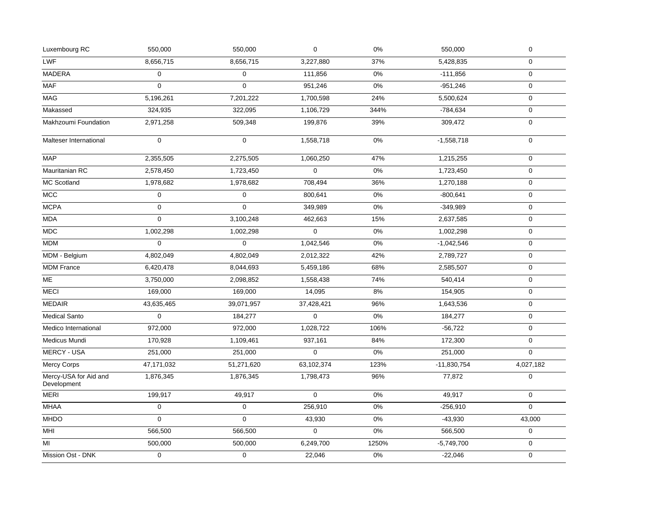| Luxembourg RC                        | 550,000     | 550,000             | 0                   | 0%    | 550,000       | $\mathbf 0$ |
|--------------------------------------|-------------|---------------------|---------------------|-------|---------------|-------------|
| <b>LWF</b>                           | 8,656,715   | 8,656,715           | 3,227,880           | 37%   | 5,428,835     | 0           |
| <b>MADERA</b>                        | $\mathbf 0$ | $\mathbf 0$         | 111,856             | 0%    | $-111,856$    | $\mathbf 0$ |
| <b>MAF</b>                           | $\mathbf 0$ | $\mathbf 0$         | 951,246             | 0%    | $-951,246$    | $\mathbf 0$ |
| <b>MAG</b>                           | 5,196,261   | 7,201,222           | 1,700,598           | 24%   | 5,500,624     | $\mathbf 0$ |
| Makassed                             | 324,935     | 322,095             | 1,106,729           | 344%  | $-784,634$    | $\mathbf 0$ |
| Makhzoumi Foundation                 | 2,971,258   | 509,348             | 199,876             | 39%   | 309,472       | $\mathbf 0$ |
| Malteser International               | $\mathbf 0$ | $\mathbf 0$         | 1,558,718           | 0%    | $-1,558,718$  | $\mathbf 0$ |
| <b>MAP</b>                           | 2,355,505   | 2,275,505           | 1,060,250           | 47%   | 1,215,255     | $\mathbf 0$ |
| Mauritanian RC                       | 2,578,450   | 1,723,450           | $\boldsymbol{0}$    | 0%    | 1,723,450     | $\mathbf 0$ |
| MC Scotland                          | 1,978,682   | 1,978,682           | 708,494             | 36%   | 1,270,188     | $\mathbf 0$ |
| <b>MCC</b>                           | $\mathbf 0$ | $\mathbf 0$         | 800,641             | 0%    | $-800,641$    | $\mathbf 0$ |
| <b>MCPA</b>                          | $\mathbf 0$ | $\mathbf 0$         | 349,989             | 0%    | $-349,989$    | $\mathbf 0$ |
| <b>MDA</b>                           | $\mathbf 0$ | 3,100,248           | 462,663             | 15%   | 2,637,585     | $\mathbf 0$ |
| MDC                                  | 1,002,298   | 1,002,298           | $\mathbf 0$         | 0%    | 1,002,298     | $\mathbf 0$ |
| <b>MDM</b>                           | $\mathbf 0$ | $\mathbf 0$         | 1,042,546           | 0%    | $-1,042,546$  | $\mathbf 0$ |
| MDM - Belgium                        | 4,802,049   | 4,802,049           | 2,012,322           | 42%   | 2,789,727     | $\pmb{0}$   |
| <b>MDM France</b>                    | 6,420,478   | 8,044,693           | 5,459,186           | 68%   | 2,585,507     | $\mathbf 0$ |
| ME                                   | 3,750,000   | 2,098,852           | 1,558,438           | 74%   | 540,414       | $\mathbf 0$ |
| <b>MECI</b>                          | 169,000     | 169,000             | 14,095              | 8%    | 154,905       | $\mathbf 0$ |
| <b>MEDAIR</b>                        | 43,635,465  | 39,071,957          | 37,428,421          | 96%   | 1,643,536     | $\mathbf 0$ |
| <b>Medical Santo</b>                 | $\mathbf 0$ | 184,277             | $\mathsf{O}\xspace$ | 0%    | 184,277       | $\mathbf 0$ |
| Medico International                 | 972,000     | 972,000             | 1,028,722           | 106%  | $-56,722$     | $\mathbf 0$ |
| Medicus Mundi                        | 170,928     | 1,109,461           | 937,161             | 84%   | 172,300       | $\mathbf 0$ |
| <b>MERCY - USA</b>                   | 251,000     | 251,000             | $\Omega$            | 0%    | 251,000       | $\Omega$    |
| Mercy Corps                          | 47,171,032  | 51,271,620          | 63,102,374          | 123%  | $-11,830,754$ | 4,027,182   |
| Mercy-USA for Aid and<br>Development | 1,876,345   | 1,876,345           | 1,798,473           | 96%   | 77,872        | $\mathbf 0$ |
| <b>MERI</b>                          | 199,917     | 49,917              | 0                   | 0%    | 49,917        | $\mathbf 0$ |
| <b>MHAA</b>                          | $\mathbf 0$ | 0                   | 256,910             | 0%    | $-256,910$    | $\mathbf 0$ |
| <b>MHDO</b>                          | $\mathbf 0$ | $\mathbf{0}$        | 43,930              | 0%    | $-43,930$     | 43,000      |
| MHI                                  | 566,500     | 566,500             | $\mathbf{0}$        | 0%    | 566,500       | $\mathbf 0$ |
| MI                                   | 500,000     | 500,000             | 6,249,700           | 1250% | $-5,749,700$  | 0           |
| Mission Ost - DNK                    | $\mathsf 0$ | $\mathsf{O}\xspace$ | 22,046              | 0%    | $-22,046$     | $\mathbf 0$ |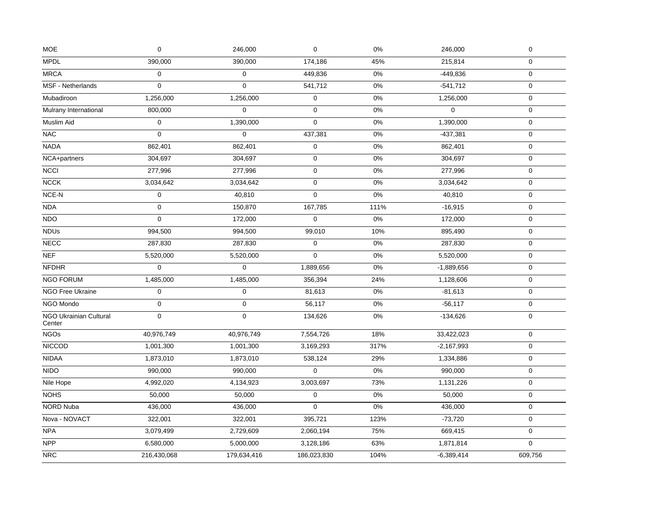| <b>MOE</b>                              | $\mathbf 0$      | 246,000          | $\pmb{0}$    | 0%    | 246,000      | $\pmb{0}$        |
|-----------------------------------------|------------------|------------------|--------------|-------|--------------|------------------|
| <b>MPDL</b>                             | 390,000          | 390,000          | 174,186      | 45%   | 215,814      | $\boldsymbol{0}$ |
| <b>MRCA</b>                             | $\boldsymbol{0}$ | $\mathbf 0$      | 449,836      | $0\%$ | $-449,836$   | $\boldsymbol{0}$ |
| MSF - Netherlands                       | $\mathbf 0$      | $\mathbf 0$      | 541,712      | 0%    | $-541,712$   | $\mathbf 0$      |
| Mubadiroon                              | 1,256,000        | 1,256,000        | 0            | 0%    | 1,256,000    | $\boldsymbol{0}$ |
| Mulrany International                   | 800,000          | $\Omega$         | $\mathbf{0}$ | 0%    | $\Omega$     | $\mathbf 0$      |
| Muslim Aid                              | $\mathbf 0$      | 1,390,000        | 0            | 0%    | 1,390,000    | $\mathbf 0$      |
| <b>NAC</b>                              | $\mathbf 0$      | $\mathbf 0$      | 437,381      | 0%    | $-437,381$   | $\boldsymbol{0}$ |
| <b>NADA</b>                             | 862,401          | 862,401          | $\pmb{0}$    | 0%    | 862,401      | $\pmb{0}$        |
| NCA+partners                            | 304,697          | 304,697          | 0            | 0%    | 304,697      | $\mathbf 0$      |
| <b>NCCI</b>                             | 277,996          | 277,996          | $\mathbf 0$  | 0%    | 277,996      | $\boldsymbol{0}$ |
| <b>NCCK</b>                             | 3,034,642        | 3,034,642        | $\mathbf 0$  | 0%    | 3,034,642    | $\mathbf 0$      |
| $NCE-N$                                 | $\boldsymbol{0}$ | 40,810           | $\mathbf 0$  | 0%    | 40,810       | $\mathbf 0$      |
| <b>NDA</b>                              | $\mathbf 0$      | 150,870          | 167,785      | 111%  | $-16,915$    | $\mathbf 0$      |
| <b>NDO</b>                              | $\boldsymbol{0}$ | 172,000          | $\mathbf 0$  | 0%    | 172,000      | $\boldsymbol{0}$ |
| <b>NDUs</b>                             | 994,500          | 994,500          | 99,010       | 10%   | 895,490      | $\mathbf 0$      |
| <b>NECC</b>                             | 287,830          | 287,830          | 0            | $0\%$ | 287,830      | $\mathbf 0$      |
| <b>NEF</b>                              | 5,520,000        | 5,520,000        | $\mathbf 0$  | 0%    | 5,520,000    | $\boldsymbol{0}$ |
| <b>NFDHR</b>                            | $\mathbf 0$      | $\mathbf 0$      | 1,889,656    | 0%    | $-1,889,656$ | $\mathbf 0$      |
| <b>NGO FORUM</b>                        | 1,485,000        | 1,485,000        | 356,394      | 24%   | 1,128,606    | $\mathbf 0$      |
| NGO Free Ukraine                        | $\boldsymbol{0}$ | $\boldsymbol{0}$ | 81,613       | 0%    | $-81,613$    | $\mathbf 0$      |
| NGO Mondo                               | $\pmb{0}$        | $\mathbf 0$      | 56,117       | 0%    | $-56,117$    | $\pmb{0}$        |
| <b>NGO Ukrainian Cultural</b><br>Center | $\boldsymbol{0}$ | $\mathbf 0$      | 134,626      | 0%    | $-134,626$   | $\mathbf 0$      |
| <b>NGOs</b>                             | 40,976,749       | 40,976,749       | 7,554,726    | 18%   | 33,422,023   | $\mathsf 0$      |
| <b>NICCOD</b>                           | 1,001,300        | 1,001,300        | 3,169,293    | 317%  | $-2,167,993$ | $\mathbf 0$      |
| <b>NIDAA</b>                            | 1,873,010        | 1,873,010        | 538,124      | 29%   | 1,334,886    | $\mathbf 0$      |
| <b>NIDO</b>                             | 990,000          | 990,000          | $\mathbf 0$  | 0%    | 990,000      | $\mathbf 0$      |
| Nile Hope                               | 4,992,020        | 4,134,923        | 3,003,697    | 73%   | 1,131,226    | $\pmb{0}$        |
| <b>NOHS</b>                             | 50,000           | 50,000           | $\mathsf 0$  | 0%    | 50,000       | $\mathbf 0$      |
| NORD Nuba                               | 436,000          | 436,000          | 0            | $0\%$ | 436,000      | $\mathbf 0$      |
| Nova - NOVACT                           | 322,001          | 322,001          | 395,721      | 123%  | $-73,720$    | $\boldsymbol{0}$ |
| NPA                                     | 3,079,499        | 2,729,609        | 2,060,194    | 75%   | 669,415      | $\mathbf 0$      |
| <b>NPP</b>                              | 6,580,000        | 5,000,000        | 3,128,186    | 63%   | 1,871,814    | 0                |
| <b>NRC</b>                              | 216,430,068      | 179,634,416      | 186,023,830  | 104%  | $-6,389,414$ | 609,756          |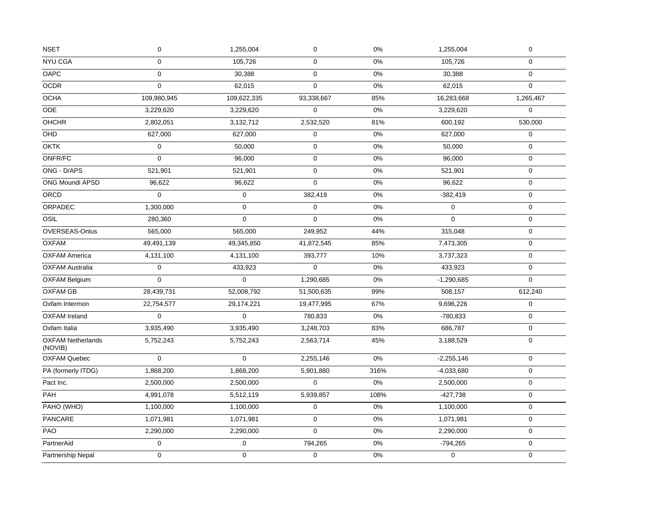| <b>NSET</b>                         | $\mathbf 0$         | 1,255,004   | $\pmb{0}$   | 0%    | 1,255,004    | $\pmb{0}$        |
|-------------------------------------|---------------------|-------------|-------------|-------|--------------|------------------|
| <b>NYU CGA</b>                      | $\mathbf 0$         | 105,726     | $\mathbf 0$ | 0%    | 105,726      | $\mathbf 0$      |
| OAPC                                | $\mathsf{O}\xspace$ | 30,388      | $\mathsf 0$ | $0\%$ | 30,388       | $\mathbf 0$      |
| <b>OCDR</b>                         | $\mathbf 0$         | 62,015      | $\mathbf 0$ | 0%    | 62,015       | $\Omega$         |
| <b>OCHA</b>                         | 109,980,945         | 109,622,335 | 93,338,667  | 85%   | 16,283,668   | 1,265,467        |
| <b>ODE</b>                          | 3,229,620           | 3,229,620   | $\mathbf 0$ | 0%    | 3,229,620    | $\mathbf{0}$     |
| <b>OHCHR</b>                        | 2,802,051           | 3,132,712   | 2,532,520   | 81%   | 600,192      | 530,000          |
| OHD                                 | 627,000             | 627,000     | $\mathbf 0$ | 0%    | 627,000      | 0                |
| <b>OKTK</b>                         | $\mathsf 0$         | 50,000      | $\mathsf 0$ | 0%    | 50,000       | $\mathbf 0$      |
| ONFR/FC                             | $\mathbf 0$         | 96,000      | $\mathsf 0$ | 0%    | 96,000       | $\mathbf 0$      |
| ONG - D/APS                         | 521,901             | 521,901     | $\pmb{0}$   | $0\%$ | 521,901      | $\mathbf 0$      |
| ONG Moundi APSD                     | 96,622              | 96,622      | $\mathsf 0$ | $0\%$ | 96,622       | $\mathbf 0$      |
| <b>ORCD</b>                         | $\Omega$            | $\mathbf 0$ | 382.419     | 0%    | $-382,419$   | $\mathbf 0$      |
| ORPADEC                             | 1,300,000           | $\mathbf 0$ | $\mathbf 0$ | 0%    | $\mathbf 0$  | $\mathbf 0$      |
| OSIL                                | 280,360             | $\Omega$    | $\Omega$    | 0%    | $\Omega$     | $\mathbf 0$      |
| OVERSEAS-Onlus                      | 565,000             | 565,000     | 249,952     | 44%   | 315,048      | $\mathbf 0$      |
| <b>OXFAM</b>                        | 49,491,139          | 49,345,850  | 41,872,545  | 85%   | 7,473,305    | $\mathbf 0$      |
| <b>OXFAM America</b>                | 4,131,100           | 4,131,100   | 393,777     | 10%   | 3,737,323    | $\mathbf 0$      |
| <b>OXFAM Australia</b>              | $\mathbf 0$         | 433,923     | $\mathbf 0$ | 0%    | 433,923      | $\mathbf 0$      |
| <b>OXFAM Belgium</b>                | $\mathbf 0$         | $\mathbf 0$ | 1,290,685   | 0%    | $-1,290,685$ | $\mathbf 0$      |
| <b>OXFAM GB</b>                     | 28,439,731          | 52,008,792  | 51,500,635  | 99%   | 508,157      | 612,240          |
| Oxfam Intermon                      | 22,754,577          | 29,174,221  | 19,477,995  | 67%   | 9,696,226    | 0                |
| <b>OXFAM Ireland</b>                | $\mathbf 0$         | $\mathbf 0$ | 780,833     | 0%    | $-780,833$   | $\mathbf 0$      |
| Oxfam Italia                        | 3,935,490           | 3,935,490   | 3,248,703   | 83%   | 686,787      | $\mathbf 0$      |
| <b>OXFAM Netherlands</b><br>(NOVIB) | 5,752,243           | 5,752,243   | 2,563,714   | 45%   | 3,188,529    | $\mathbf 0$      |
| <b>OXFAM Quebec</b>                 | $\mathbf 0$         | $\mathbf 0$ | 2,255,146   | 0%    | $-2,255,146$ | $\mathbf 0$      |
| PA (formerly ITDG)                  | 1,868,200           | 1,868,200   | 5,901,880   | 316%  | $-4,033,680$ | $\mathbf 0$      |
| Pact Inc.                           | 2,500,000           | 2,500,000   | $\mathbf 0$ | 0%    | 2,500,000    | $\mathbf 0$      |
| PAH                                 | 4,991,078           | 5,512,119   | 5,939,857   | 108%  | $-427,738$   | 0                |
| PAHO (WHO)                          | 1,100,000           | 1,100,000   | $\mathbf 0$ | 0%    | 1,100,000    | $\pmb{0}$        |
| <b>PANCARE</b>                      | 1,071,981           | 1,071,981   | $\mathsf 0$ | 0%    | 1,071,981    | $\boldsymbol{0}$ |
| PAO                                 | 2,290,000           | 2,290,000   | $\mathbf 0$ | 0%    | 2,290,000    | $\mathbf 0$      |
| PartnerAid                          | $\mathsf{O}\xspace$ | $\mathbf 0$ | 794,265     | $0\%$ | $-794,265$   | $\mathbf{0}$     |
| Partnership Nepal                   | $\mathbf 0$         | $\mathbf 0$ | $\mathsf 0$ | 0%    | 0            | $\mathbf 0$      |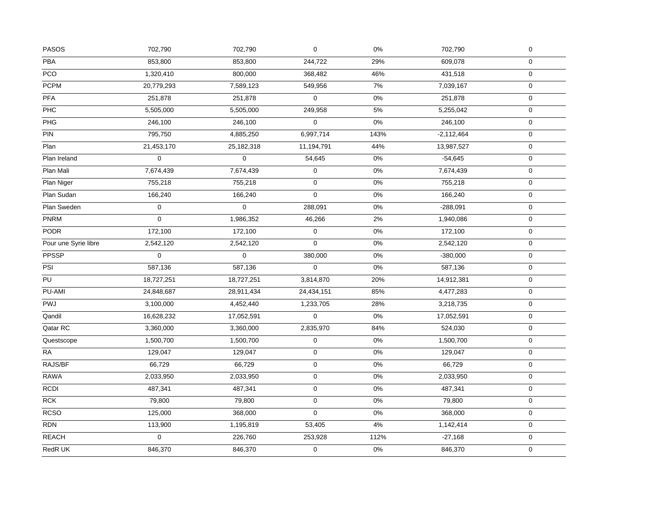| <b>PASOS</b>         | 702,790          | 702,790             | 0           | 0%    | 702,790      | $\pmb{0}$        |
|----------------------|------------------|---------------------|-------------|-------|--------------|------------------|
| <b>PBA</b>           | 853,800          | 853,800             | 244,722     | 29%   | 609,078      | $\mathbf 0$      |
| PCO                  | 1,320,410        | 800,000             | 368,482     | 46%   | 431,518      | $\pmb{0}$        |
| <b>PCPM</b>          | 20,779,293       | 7,589,123           | 549,956     | 7%    | 7,039,167    | $\mathbf 0$      |
| PFA                  | 251,878          | 251,878             | $\mathbf 0$ | 0%    | 251,878      | $\mathbf 0$      |
| PHC                  | 5,505,000        | 5,505,000           | 249,958     | 5%    | 5,255,042    | $\mathbf 0$      |
| PHG                  | 246,100          | 246,100             | 0           | $0\%$ | 246,100      | $\pmb{0}$        |
| PIN                  | 795,750          | 4,885,250           | 6,997,714   | 143%  | $-2,112,464$ | $\pmb{0}$        |
| Plan                 | 21,453,170       | 25, 182, 318        | 11,194,791  | 44%   | 13,987,527   | $\mathbf 0$      |
| Plan Ireland         | $\mathbf 0$      | $\mathsf{O}\xspace$ | 54,645      | $0\%$ | $-54,645$    | $\mathbf 0$      |
| Plan Mali            | 7,674,439        | 7,674,439           | 0           | $0\%$ | 7,674,439    | $\boldsymbol{0}$ |
| Plan Niger           | 755,218          | 755,218             | $\pmb{0}$   | $0\%$ | 755,218      | $\boldsymbol{0}$ |
| Plan Sudan           | 166,240          | 166,240             | $\mathbf 0$ | $0\%$ | 166,240      | $\pmb{0}$        |
| Plan Sweden          | $\boldsymbol{0}$ | $\mathbf 0$         | 288,091     | $0\%$ | $-288,091$   | 0                |
| <b>PNRM</b>          | 0                | 1,986,352           | 46,266      | 2%    | 1,940,086    | $\mathbf 0$      |
| <b>PODR</b>          | 172,100          | 172,100             | 0           | $0\%$ | 172,100      | $\boldsymbol{0}$ |
| Pour une Syrie libre | 2,542,120        | 2,542,120           | $\mathbf 0$ | $0\%$ | 2,542,120    | $\pmb{0}$        |
| PPSSP                | $\pmb{0}$        | $\mathbf 0$         | 380,000     | 0%    | $-380,000$   | $\pmb{0}$        |
| PSI                  | 587,136          | 587,136             | $\mathsf 0$ | $0\%$ | 587,136      | $\boldsymbol{0}$ |
| $\overline{PU}$      | 18,727,251       | 18,727,251          | 3,814,870   | 20%   | 14,912,381   | $\pmb{0}$        |
| PU-AMI               | 24,848,687       | 28,911,434          | 24,434,151  | 85%   | 4,477,283    | $\mathbf 0$      |
| PWJ                  | 3,100,000        | 4,452,440           | 1,233,705   | 28%   | 3,218,735    | $\pmb{0}$        |
| Qandil               | 16,628,232       | 17,052,591          | $\Omega$    | 0%    | 17,052,591   | $\mathbf 0$      |
| Qatar RC             | 3,360,000        | 3,360,000           | 2,835,970   | 84%   | 524,030      | $\mathbf 0$      |
| Questscope           | 1,500,700        | 1,500,700           | 0           | $0\%$ | 1,500,700    | $\mathbf 0$      |
| RA                   | 129,047          | 129,047             | $\mathbf 0$ | $0\%$ | 129,047      | $\mathbf 0$      |
| RAJS/BF              | 66,729           | 66,729              | 0           | 0%    | 66,729       | 0                |
| <b>RAWA</b>          | 2,033,950        | 2,033,950           | 0           | 0%    | 2,033,950    | $\mathbf 0$      |
| <b>RCDI</b>          | 487,341          | 487,341             | $\mathbf 0$ | 0%    | 487,341      | $\pmb{0}$        |
| <b>RCK</b>           | 79,800           | 79,800              | $\mathbf 0$ | $0\%$ | 79,800       | $\mathbf 0$      |
| <b>RCSO</b>          | 125,000          | 368,000             | 0           | $0\%$ | 368,000      | $\mathbf 0$      |
| <b>RDN</b>           | 113,900          | 1,195,819           | 53,405      | 4%    | 1,142,414    | $\pmb{0}$        |
| <b>REACH</b>         | 0                | 226,760             | 253,928     | 112%  | $-27,168$    | $\boldsymbol{0}$ |
| RedR UK              | 846,370          | 846,370             | $\pmb{0}$   | $0\%$ | 846,370      | $\mathbf 0$      |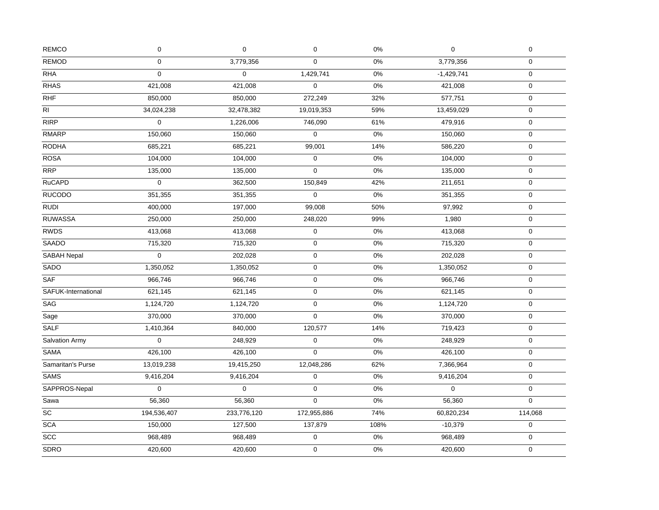| <b>REMOD</b><br>0<br>3,779,356<br>0%<br>3,779,356<br>$\mathbf 0$<br>$\mathbf 0$<br><b>RHA</b><br>1,429,741<br>0<br>$\mathbf 0$<br>0%<br>$-1,429,741$<br>$\mathbf 0$<br>421,008<br>421,008<br>$\Omega$<br>0%<br>$\pmb{0}$<br>421,008<br>850,000<br>272,249<br>32%<br>850,000<br>577,751<br>$\mathbf 0$<br>34,024,238<br>59%<br>32,478,382<br>19,019,353<br>13,459,029<br>$\mathbf 0$<br>$\mathbf 0$<br>61%<br>1,226,006<br>746,090<br>479,916<br>$\pmb{0}$<br>0<br>$0\%$<br>$\boldsymbol{0}$<br>150,060<br>150,060<br>150,060<br>685,221<br>685,221<br>14%<br>586,220<br>99,001<br>$\mathbf 0$<br>$0\%$<br>104,000<br>104,000<br>$\mathbf 0$<br>104,000<br>$\pmb{0}$<br>0%<br>135,000<br>$\mathbf 0$<br>135,000<br>135,000<br>0<br>0<br>42%<br>$\boldsymbol{0}$<br>362,500<br>150,849<br>211,651<br><b>RUCODO</b><br>351,355<br>351,355<br>0<br>$0\%$<br>$\boldsymbol{0}$<br>351,355<br><b>RUDI</b><br>400,000<br>197,000<br>50%<br>99,008<br>97,992<br>$\mathbf 0$<br>250,000<br>250,000<br>248,020<br>99%<br>1,980<br>$\pmb{0}$<br>0%<br>413,068<br>413,068<br>0<br>413,068<br>$\mathbf 0$<br><b>SAADO</b><br>715,320<br>$\pmb{0}$<br>0%<br>$\mathbf 0$<br>715,320<br>715,320<br>$\boldsymbol{0}$<br>$\mathbf 0$<br>0%<br>$\pmb{0}$<br>202,028<br>202,028<br>1,350,052<br>1,350,052<br>$\mathbf 0$<br>0%<br>1,350,052<br>$\mathbf 0$<br>$\mathbf 0$<br>0%<br>$\pmb{0}$<br>966,746<br>966,746<br>966,746<br>SAFUK-International<br>$0\%$<br>621,145<br>621,145<br>$\mathbf 0$<br>621,145<br>$\pmb{0}$<br><b>SAG</b><br>0<br>0%<br>$\mathbf 0$<br>1,124,720<br>1,124,720<br>1,124,720<br>370,000<br>$\mathbf 0$<br>0%<br>$\boldsymbol{0}$<br>370,000<br>370,000<br>Sage<br>1,410,364<br>840,000<br>120,577<br>14%<br>$\boldsymbol{0}$<br>719,423<br>Salvation Army<br>248,929<br>$0\%$<br>$\mathbf 0$<br>0<br>248,929<br>$\mathbf 0$<br>SAMA<br>$\overline{426,}100$<br>$\Omega$<br>0%<br>426,100<br>426,100<br>$\mathbf 0$<br>Samaritan's Purse<br>12,048,286<br>62%<br>13,019,238<br>19,415,250<br>7,366,964<br>0<br><b>SAMS</b><br>0<br>0%<br>$\mathbf 0$<br>9,416,204<br>9,416,204<br>9,416,204<br>$\boldsymbol{0}$<br>$\mathbf 0$<br>$\mathbf 0$<br>0%<br>$\mathbf 0$<br>$\mathbf 0$<br>Sawa<br>56,360<br>56,360<br>0<br>0%<br>56,360<br>$\mathbf 0$<br>194,536,407<br>172,955,886<br>74%<br>114,068<br>233,776,120<br>60,820,234<br>108%<br>$\mathbf 0$<br><b>SCA</b><br>150,000<br>127,500<br>137,879<br>$-10,379$<br>$\overline{SCC}$<br>968,489<br>968,489<br>0%<br>$\boldsymbol{0}$<br>0<br>968,489<br>SDRO<br>0<br>0%<br>420,600<br>420,600<br>420,600<br>$\mathbf 0$ | <b>REMCO</b>                 | $\pmb{0}$ | $\mathbf 0$ | $\pmb{0}$ | $0\%$ | $\mathbf 0$ | $\pmb{0}$ |
|---------------------------------------------------------------------------------------------------------------------------------------------------------------------------------------------------------------------------------------------------------------------------------------------------------------------------------------------------------------------------------------------------------------------------------------------------------------------------------------------------------------------------------------------------------------------------------------------------------------------------------------------------------------------------------------------------------------------------------------------------------------------------------------------------------------------------------------------------------------------------------------------------------------------------------------------------------------------------------------------------------------------------------------------------------------------------------------------------------------------------------------------------------------------------------------------------------------------------------------------------------------------------------------------------------------------------------------------------------------------------------------------------------------------------------------------------------------------------------------------------------------------------------------------------------------------------------------------------------------------------------------------------------------------------------------------------------------------------------------------------------------------------------------------------------------------------------------------------------------------------------------------------------------------------------------------------------------------------------------------------------------------------------------------------------------------------------------------------------------------------------------------------------------------------------------------------------------------------------------------------------------------------------------------------------------------------------------------------------------------------------------------------------------------------------------------------------------------------------------------------------------------------------------------------------------------------------|------------------------------|-----------|-------------|-----------|-------|-------------|-----------|
|                                                                                                                                                                                                                                                                                                                                                                                                                                                                                                                                                                                                                                                                                                                                                                                                                                                                                                                                                                                                                                                                                                                                                                                                                                                                                                                                                                                                                                                                                                                                                                                                                                                                                                                                                                                                                                                                                                                                                                                                                                                                                                                                                                                                                                                                                                                                                                                                                                                                                                                                                                                 |                              |           |             |           |       |             |           |
|                                                                                                                                                                                                                                                                                                                                                                                                                                                                                                                                                                                                                                                                                                                                                                                                                                                                                                                                                                                                                                                                                                                                                                                                                                                                                                                                                                                                                                                                                                                                                                                                                                                                                                                                                                                                                                                                                                                                                                                                                                                                                                                                                                                                                                                                                                                                                                                                                                                                                                                                                                                 |                              |           |             |           |       |             |           |
|                                                                                                                                                                                                                                                                                                                                                                                                                                                                                                                                                                                                                                                                                                                                                                                                                                                                                                                                                                                                                                                                                                                                                                                                                                                                                                                                                                                                                                                                                                                                                                                                                                                                                                                                                                                                                                                                                                                                                                                                                                                                                                                                                                                                                                                                                                                                                                                                                                                                                                                                                                                 | <b>RHAS</b>                  |           |             |           |       |             |           |
|                                                                                                                                                                                                                                                                                                                                                                                                                                                                                                                                                                                                                                                                                                                                                                                                                                                                                                                                                                                                                                                                                                                                                                                                                                                                                                                                                                                                                                                                                                                                                                                                                                                                                                                                                                                                                                                                                                                                                                                                                                                                                                                                                                                                                                                                                                                                                                                                                                                                                                                                                                                 | RHF                          |           |             |           |       |             |           |
|                                                                                                                                                                                                                                                                                                                                                                                                                                                                                                                                                                                                                                                                                                                                                                                                                                                                                                                                                                                                                                                                                                                                                                                                                                                                                                                                                                                                                                                                                                                                                                                                                                                                                                                                                                                                                                                                                                                                                                                                                                                                                                                                                                                                                                                                                                                                                                                                                                                                                                                                                                                 | $\overline{RI}$              |           |             |           |       |             |           |
|                                                                                                                                                                                                                                                                                                                                                                                                                                                                                                                                                                                                                                                                                                                                                                                                                                                                                                                                                                                                                                                                                                                                                                                                                                                                                                                                                                                                                                                                                                                                                                                                                                                                                                                                                                                                                                                                                                                                                                                                                                                                                                                                                                                                                                                                                                                                                                                                                                                                                                                                                                                 | <b>RIRP</b>                  |           |             |           |       |             |           |
|                                                                                                                                                                                                                                                                                                                                                                                                                                                                                                                                                                                                                                                                                                                                                                                                                                                                                                                                                                                                                                                                                                                                                                                                                                                                                                                                                                                                                                                                                                                                                                                                                                                                                                                                                                                                                                                                                                                                                                                                                                                                                                                                                                                                                                                                                                                                                                                                                                                                                                                                                                                 | <b>RMARP</b>                 |           |             |           |       |             |           |
|                                                                                                                                                                                                                                                                                                                                                                                                                                                                                                                                                                                                                                                                                                                                                                                                                                                                                                                                                                                                                                                                                                                                                                                                                                                                                                                                                                                                                                                                                                                                                                                                                                                                                                                                                                                                                                                                                                                                                                                                                                                                                                                                                                                                                                                                                                                                                                                                                                                                                                                                                                                 | <b>RODHA</b>                 |           |             |           |       |             |           |
|                                                                                                                                                                                                                                                                                                                                                                                                                                                                                                                                                                                                                                                                                                                                                                                                                                                                                                                                                                                                                                                                                                                                                                                                                                                                                                                                                                                                                                                                                                                                                                                                                                                                                                                                                                                                                                                                                                                                                                                                                                                                                                                                                                                                                                                                                                                                                                                                                                                                                                                                                                                 | <b>ROSA</b>                  |           |             |           |       |             |           |
|                                                                                                                                                                                                                                                                                                                                                                                                                                                                                                                                                                                                                                                                                                                                                                                                                                                                                                                                                                                                                                                                                                                                                                                                                                                                                                                                                                                                                                                                                                                                                                                                                                                                                                                                                                                                                                                                                                                                                                                                                                                                                                                                                                                                                                                                                                                                                                                                                                                                                                                                                                                 | RRP                          |           |             |           |       |             |           |
|                                                                                                                                                                                                                                                                                                                                                                                                                                                                                                                                                                                                                                                                                                                                                                                                                                                                                                                                                                                                                                                                                                                                                                                                                                                                                                                                                                                                                                                                                                                                                                                                                                                                                                                                                                                                                                                                                                                                                                                                                                                                                                                                                                                                                                                                                                                                                                                                                                                                                                                                                                                 | <b>RuCAPD</b>                |           |             |           |       |             |           |
|                                                                                                                                                                                                                                                                                                                                                                                                                                                                                                                                                                                                                                                                                                                                                                                                                                                                                                                                                                                                                                                                                                                                                                                                                                                                                                                                                                                                                                                                                                                                                                                                                                                                                                                                                                                                                                                                                                                                                                                                                                                                                                                                                                                                                                                                                                                                                                                                                                                                                                                                                                                 |                              |           |             |           |       |             |           |
|                                                                                                                                                                                                                                                                                                                                                                                                                                                                                                                                                                                                                                                                                                                                                                                                                                                                                                                                                                                                                                                                                                                                                                                                                                                                                                                                                                                                                                                                                                                                                                                                                                                                                                                                                                                                                                                                                                                                                                                                                                                                                                                                                                                                                                                                                                                                                                                                                                                                                                                                                                                 |                              |           |             |           |       |             |           |
|                                                                                                                                                                                                                                                                                                                                                                                                                                                                                                                                                                                                                                                                                                                                                                                                                                                                                                                                                                                                                                                                                                                                                                                                                                                                                                                                                                                                                                                                                                                                                                                                                                                                                                                                                                                                                                                                                                                                                                                                                                                                                                                                                                                                                                                                                                                                                                                                                                                                                                                                                                                 | <b>RUWASSA</b>               |           |             |           |       |             |           |
|                                                                                                                                                                                                                                                                                                                                                                                                                                                                                                                                                                                                                                                                                                                                                                                                                                                                                                                                                                                                                                                                                                                                                                                                                                                                                                                                                                                                                                                                                                                                                                                                                                                                                                                                                                                                                                                                                                                                                                                                                                                                                                                                                                                                                                                                                                                                                                                                                                                                                                                                                                                 | <b>RWDS</b>                  |           |             |           |       |             |           |
|                                                                                                                                                                                                                                                                                                                                                                                                                                                                                                                                                                                                                                                                                                                                                                                                                                                                                                                                                                                                                                                                                                                                                                                                                                                                                                                                                                                                                                                                                                                                                                                                                                                                                                                                                                                                                                                                                                                                                                                                                                                                                                                                                                                                                                                                                                                                                                                                                                                                                                                                                                                 |                              |           |             |           |       |             |           |
|                                                                                                                                                                                                                                                                                                                                                                                                                                                                                                                                                                                                                                                                                                                                                                                                                                                                                                                                                                                                                                                                                                                                                                                                                                                                                                                                                                                                                                                                                                                                                                                                                                                                                                                                                                                                                                                                                                                                                                                                                                                                                                                                                                                                                                                                                                                                                                                                                                                                                                                                                                                 | <b>SABAH Nepal</b>           |           |             |           |       |             |           |
|                                                                                                                                                                                                                                                                                                                                                                                                                                                                                                                                                                                                                                                                                                                                                                                                                                                                                                                                                                                                                                                                                                                                                                                                                                                                                                                                                                                                                                                                                                                                                                                                                                                                                                                                                                                                                                                                                                                                                                                                                                                                                                                                                                                                                                                                                                                                                                                                                                                                                                                                                                                 | SADO                         |           |             |           |       |             |           |
|                                                                                                                                                                                                                                                                                                                                                                                                                                                                                                                                                                                                                                                                                                                                                                                                                                                                                                                                                                                                                                                                                                                                                                                                                                                                                                                                                                                                                                                                                                                                                                                                                                                                                                                                                                                                                                                                                                                                                                                                                                                                                                                                                                                                                                                                                                                                                                                                                                                                                                                                                                                 | SAF                          |           |             |           |       |             |           |
|                                                                                                                                                                                                                                                                                                                                                                                                                                                                                                                                                                                                                                                                                                                                                                                                                                                                                                                                                                                                                                                                                                                                                                                                                                                                                                                                                                                                                                                                                                                                                                                                                                                                                                                                                                                                                                                                                                                                                                                                                                                                                                                                                                                                                                                                                                                                                                                                                                                                                                                                                                                 |                              |           |             |           |       |             |           |
|                                                                                                                                                                                                                                                                                                                                                                                                                                                                                                                                                                                                                                                                                                                                                                                                                                                                                                                                                                                                                                                                                                                                                                                                                                                                                                                                                                                                                                                                                                                                                                                                                                                                                                                                                                                                                                                                                                                                                                                                                                                                                                                                                                                                                                                                                                                                                                                                                                                                                                                                                                                 |                              |           |             |           |       |             |           |
|                                                                                                                                                                                                                                                                                                                                                                                                                                                                                                                                                                                                                                                                                                                                                                                                                                                                                                                                                                                                                                                                                                                                                                                                                                                                                                                                                                                                                                                                                                                                                                                                                                                                                                                                                                                                                                                                                                                                                                                                                                                                                                                                                                                                                                                                                                                                                                                                                                                                                                                                                                                 |                              |           |             |           |       |             |           |
|                                                                                                                                                                                                                                                                                                                                                                                                                                                                                                                                                                                                                                                                                                                                                                                                                                                                                                                                                                                                                                                                                                                                                                                                                                                                                                                                                                                                                                                                                                                                                                                                                                                                                                                                                                                                                                                                                                                                                                                                                                                                                                                                                                                                                                                                                                                                                                                                                                                                                                                                                                                 | <b>SALF</b>                  |           |             |           |       |             |           |
|                                                                                                                                                                                                                                                                                                                                                                                                                                                                                                                                                                                                                                                                                                                                                                                                                                                                                                                                                                                                                                                                                                                                                                                                                                                                                                                                                                                                                                                                                                                                                                                                                                                                                                                                                                                                                                                                                                                                                                                                                                                                                                                                                                                                                                                                                                                                                                                                                                                                                                                                                                                 |                              |           |             |           |       |             |           |
|                                                                                                                                                                                                                                                                                                                                                                                                                                                                                                                                                                                                                                                                                                                                                                                                                                                                                                                                                                                                                                                                                                                                                                                                                                                                                                                                                                                                                                                                                                                                                                                                                                                                                                                                                                                                                                                                                                                                                                                                                                                                                                                                                                                                                                                                                                                                                                                                                                                                                                                                                                                 |                              |           |             |           |       |             |           |
|                                                                                                                                                                                                                                                                                                                                                                                                                                                                                                                                                                                                                                                                                                                                                                                                                                                                                                                                                                                                                                                                                                                                                                                                                                                                                                                                                                                                                                                                                                                                                                                                                                                                                                                                                                                                                                                                                                                                                                                                                                                                                                                                                                                                                                                                                                                                                                                                                                                                                                                                                                                 |                              |           |             |           |       |             |           |
|                                                                                                                                                                                                                                                                                                                                                                                                                                                                                                                                                                                                                                                                                                                                                                                                                                                                                                                                                                                                                                                                                                                                                                                                                                                                                                                                                                                                                                                                                                                                                                                                                                                                                                                                                                                                                                                                                                                                                                                                                                                                                                                                                                                                                                                                                                                                                                                                                                                                                                                                                                                 |                              |           |             |           |       |             |           |
|                                                                                                                                                                                                                                                                                                                                                                                                                                                                                                                                                                                                                                                                                                                                                                                                                                                                                                                                                                                                                                                                                                                                                                                                                                                                                                                                                                                                                                                                                                                                                                                                                                                                                                                                                                                                                                                                                                                                                                                                                                                                                                                                                                                                                                                                                                                                                                                                                                                                                                                                                                                 | SAPPROS-Nepal                |           |             |           |       |             |           |
|                                                                                                                                                                                                                                                                                                                                                                                                                                                                                                                                                                                                                                                                                                                                                                                                                                                                                                                                                                                                                                                                                                                                                                                                                                                                                                                                                                                                                                                                                                                                                                                                                                                                                                                                                                                                                                                                                                                                                                                                                                                                                                                                                                                                                                                                                                                                                                                                                                                                                                                                                                                 |                              |           |             |           |       |             |           |
|                                                                                                                                                                                                                                                                                                                                                                                                                                                                                                                                                                                                                                                                                                                                                                                                                                                                                                                                                                                                                                                                                                                                                                                                                                                                                                                                                                                                                                                                                                                                                                                                                                                                                                                                                                                                                                                                                                                                                                                                                                                                                                                                                                                                                                                                                                                                                                                                                                                                                                                                                                                 | $\operatorname{\textsf{SC}}$ |           |             |           |       |             |           |
|                                                                                                                                                                                                                                                                                                                                                                                                                                                                                                                                                                                                                                                                                                                                                                                                                                                                                                                                                                                                                                                                                                                                                                                                                                                                                                                                                                                                                                                                                                                                                                                                                                                                                                                                                                                                                                                                                                                                                                                                                                                                                                                                                                                                                                                                                                                                                                                                                                                                                                                                                                                 |                              |           |             |           |       |             |           |
|                                                                                                                                                                                                                                                                                                                                                                                                                                                                                                                                                                                                                                                                                                                                                                                                                                                                                                                                                                                                                                                                                                                                                                                                                                                                                                                                                                                                                                                                                                                                                                                                                                                                                                                                                                                                                                                                                                                                                                                                                                                                                                                                                                                                                                                                                                                                                                                                                                                                                                                                                                                 |                              |           |             |           |       |             |           |
|                                                                                                                                                                                                                                                                                                                                                                                                                                                                                                                                                                                                                                                                                                                                                                                                                                                                                                                                                                                                                                                                                                                                                                                                                                                                                                                                                                                                                                                                                                                                                                                                                                                                                                                                                                                                                                                                                                                                                                                                                                                                                                                                                                                                                                                                                                                                                                                                                                                                                                                                                                                 |                              |           |             |           |       |             |           |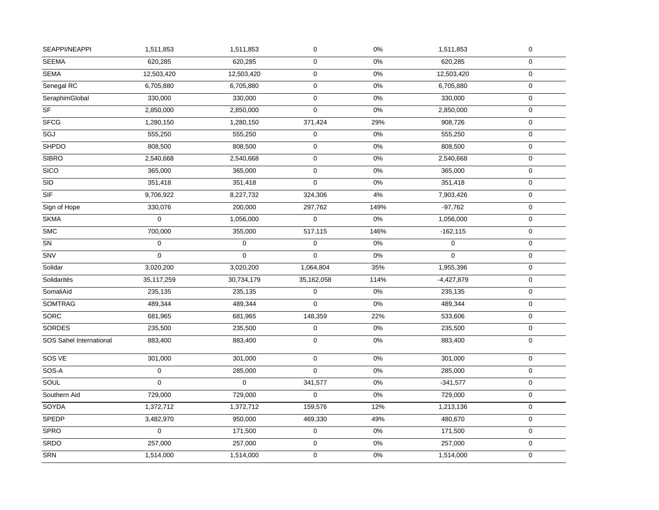| SEAPPI/NEAPPI           | 1,511,853        | 1,511,853   | $\pmb{0}$      | $0\%$ | 1,511,853    | $\pmb{0}$        |
|-------------------------|------------------|-------------|----------------|-------|--------------|------------------|
| <b>SEEMA</b>            | 620,285          | 620,285     | $\mathsf 0$    | 0%    | 620,285      | $\boldsymbol{0}$ |
| <b>SEMA</b>             | 12,503,420       | 12,503,420  | $\mathsf 0$    | $0\%$ | 12,503,420   | $\mathbf 0$      |
| Senegal RC              | 6,705,880        | 6,705,880   | $\mathsf 0$    | $0\%$ | 6,705,880    | $\pmb{0}$        |
| SeraphimGlobal          | 330,000          | 330,000     | $\mathbf 0$    | 0%    | 330,000      | $\mathbf 0$      |
| $\overline{\text{S}F}$  | 2,850,000        | 2,850,000   | $\mathsf 0$    | $0\%$ | 2,850,000    | $\pmb{0}$        |
| <b>SFCG</b>             | 1,280,150        | 1,280,150   | 371,424        | 29%   | 908,726      | $\boldsymbol{0}$ |
| SGJ                     | 555,250          | 555,250     | 0              | 0%    | 555,250      | $\boldsymbol{0}$ |
| <b>SHPDO</b>            | 808,500          | 808,500     | $\pmb{0}$      | 0%    | 808,500      | $\pmb{0}$        |
| <b>SIBRO</b>            | 2,540,668        | 2,540,668   | $\mathsf 0$    | 0%    | 2,540,668    | $\pmb{0}$        |
| <b>SICO</b>             | 365,000          | 365,000     | 0              | 0%    | 365,000      | $\pmb{0}$        |
| <b>SID</b>              | 351,418          | 351,418     | $\mathbf 0$    | $0\%$ | 351,418      | $\boldsymbol{0}$ |
| SIF                     | 9,706,922        | 8,227,732   | 324,306        | 4%    | 7,903,426    | $\pmb{0}$        |
| Sign of Hope            | 330,076          | 200,000     | 297,762        | 149%  | $-97,762$    | $\boldsymbol{0}$ |
| <b>SKMA</b>             | $\overline{0}$   | 1,056,000   | $\Omega$       | 0%    | 1,056,000    | $\boldsymbol{0}$ |
| <b>SMC</b>              | 700,000          | 355,000     | 517,115        | 146%  | $-162, 115$  | $\pmb{0}$        |
| ${\sf SN}$              | $\mathbf 0$      | $\mathbf 0$ | $\mathsf 0$    | $0\%$ | $\mathbf 0$  | $\mathbf 0$      |
| SNV                     | $\mathbf 0$      | 0           | $\mathbf 0$    | $0\%$ | $\mathbf 0$  | $\mathbf 0$      |
| Solidar                 | 3,020,200        | 3,020,200   | 1,064,804      | 35%   | 1,955,396    | $\boldsymbol{0}$ |
| Solidarités             | 35, 117, 259     | 30,734,179  | 35,162,058     | 114%  | $-4,427,879$ | $\pmb{0}$        |
| SomaliAid               | 235,135          | 235,135     | $\pmb{0}$      | 0%    | 235,135      | $\mathbf 0$      |
| <b>SOMTRAG</b>          | 489,344          | 489,344     | $\overline{0}$ | 0%    | 489,344      | $\pmb{0}$        |
| <b>SORC</b>             | 681,965          | 681,965     | 148,359        | 22%   | 533,606      | $\pmb{0}$        |
| <b>SORDES</b>           | 235,500          | 235,500     | $\pmb{0}$      | 0%    | 235,500      | $\mathbf 0$      |
| SOS Sahel International | 883,400          | 883,400     | $\mathbf 0$    | 0%    | 883,400      | $\mathbf 0$      |
| SOS VE                  | 301,000          | 301,000     | $\mathsf 0$    | 0%    | 301,000      | $\mathbf 0$      |
| SOS-A                   | $\mathbf 0$      | 285,000     | $\mathbf 0$    | 0%    | 285,000      | $\boldsymbol{0}$ |
| SOUL                    | $\mathbf 0$      | $\mathbf 0$ | 341,577        | 0%    | $-341,577$   | $\boldsymbol{0}$ |
| Southern Aid            | 729,000          | 729,000     | 0              | 0%    | 729,000      | $\pmb{0}$        |
| SOYDA                   | 1,372,712        | 1,372,712   | 159,576        | 12%   | 1,213,136    | $\pmb{0}$        |
| <b>SPEDP</b>            | 3,482,970        | 950,000     | 469,330        | 49%   | 480,670      | $\pmb{0}$        |
| <b>SPRO</b>             | $\boldsymbol{0}$ | 171,500     | $\mathsf 0$    | $0\%$ | 171,500      | $\boldsymbol{0}$ |
| SRDO                    | 257,000          | 257,000     | $\mathsf 0$    | $0\%$ | 257,000      | $\pmb{0}$        |
| <b>SRN</b>              | 1,514,000        | 1,514,000   | 0              | $0\%$ | 1,514,000    | $\mathbf 0$      |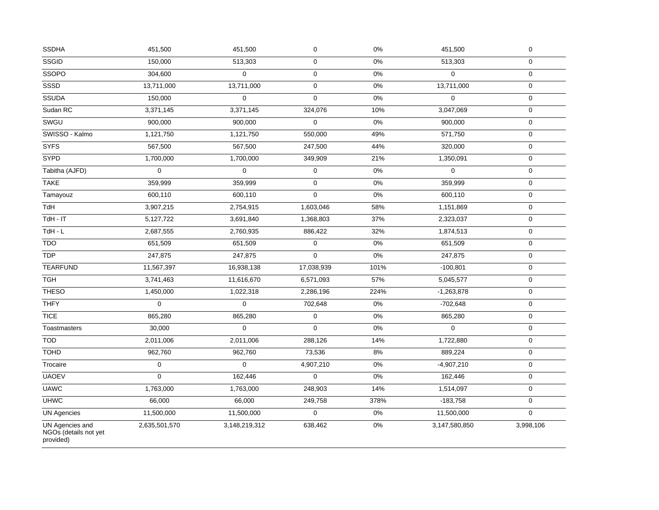| <b>SSDHA</b>                                          | 451,500       | 451,500       | $\pmb{0}$   | $0\%$ | 451,500       | $\pmb{0}$           |
|-------------------------------------------------------|---------------|---------------|-------------|-------|---------------|---------------------|
| SSGID                                                 | 150,000       | 513,303       | $\pmb{0}$   | 0%    | 513,303       | $\mathsf{O}\xspace$ |
| SSOPO                                                 | 304,600       | $\mathbf 0$   | $\mathbf 0$ | $0\%$ | $\mathbf 0$   | $\mathbf 0$         |
| <b>SSSD</b>                                           | 13,711,000    | 13,711,000    | $\mathbf 0$ | $0\%$ | 13,711,000    | $\mathbf 0$         |
| <b>SSUDA</b>                                          | 150,000       | $\Omega$      | $\Omega$    | 0%    | $\Omega$      | $\mathbf 0$         |
| Sudan RC                                              | 3,371,145     | 3,371,145     | 324,076     | 10%   | 3,047,069     | $\pmb{0}$           |
| SWGU                                                  | 900,000       | 900,000       | $\mathsf 0$ | $0\%$ | 900,000       | 0                   |
| SWISSO - Kalmo                                        | 1,121,750     | 1,121,750     | 550,000     | 49%   | 571,750       | $\pmb{0}$           |
| <b>SYFS</b>                                           | 567,500       | 567,500       | 247,500     | 44%   | 320,000       | $\mathsf{O}\xspace$ |
| <b>SYPD</b>                                           | 1,700,000     | 1,700,000     | 349,909     | 21%   | 1,350,091     | $\pmb{0}$           |
| Tabitha (AJFD)                                        | $\mathbf 0$   | $\mathbf 0$   | $\mathbf 0$ | $0\%$ | $\mathbf 0$   | $\mathbf 0$         |
| <b>TAKE</b>                                           | 359,999       | 359,999       | $\mathbf 0$ | $0\%$ | 359,999       | $\pmb{0}$           |
| Tamayouz                                              | 600,110       | 600,110       | $\mathbf 0$ | 0%    | 600,110       | $\mathbf 0$         |
| TdH                                                   | 3,907,215     | 2,754,915     | 1,603,046   | 58%   | 1,151,869     | $\pmb{0}$           |
| $TdH - IT$                                            | 5,127,722     | 3,691,840     | 1,368,803   | 37%   | 2,323,037     | $\pmb{0}$           |
| $TdH - L$                                             | 2,687,555     | 2,760,935     | 886,422     | 32%   | 1,874,513     | 0                   |
| <b>TDO</b>                                            | 651,509       | 651,509       | $\pmb{0}$   | $0\%$ | 651,509       | $\pmb{0}$           |
| <b>TDP</b>                                            | 247,875       | 247,875       | $\mathbf 0$ | 0%    | 247,875       | 0                   |
| <b>TEARFUND</b>                                       | 11,567,397    | 16,938,138    | 17,038,939  | 101%  | $-100,801$    | $\pmb{0}$           |
| <b>TGH</b>                                            | 3,741,463     | 11,616,670    | 6,571,093   | 57%   | 5,045,577     | $\mathsf{O}\xspace$ |
| <b>THESO</b>                                          | 1,450,000     | 1,022,318     | 2,286,196   | 224%  | $-1,263,878$  | $\mathbf 0$         |
| <b>THFY</b>                                           | $\Omega$      | $\Omega$      | 702,648     | $0\%$ | $-702,648$    | $\mathbf 0$         |
| <b>TICE</b>                                           | 865,280       | 865,280       | $\pmb{0}$   | $0\%$ | 865,280       | $\pmb{0}$           |
| Toastmasters                                          | 30,000        | $\mathbf 0$   | $\mathsf 0$ | $0\%$ | $\pmb{0}$     | $\pmb{0}$           |
| <b>TOD</b>                                            | 2,011,006     | 2,011,006     | 288,126     | 14%   | 1,722,880     | $\pmb{0}$           |
| <b>TOHD</b>                                           | 962,760       | 962,760       | 73,536      | 8%    | 889,224       | $\mathbf 0$         |
| Trocaire                                              | $\mathbf 0$   | $\mathbf 0$   | 4,907,210   | $0\%$ | $-4,907,210$  | 0                   |
| <b>UAOEV</b>                                          | $\mathbf 0$   | 162,446       | $\mathbf 0$ | $0\%$ | 162,446       | $\mathbf 0$         |
| <b>UAWC</b>                                           | 1,763,000     | 1,763,000     | 248,903     | 14%   | 1,514,097     | $\pmb{0}$           |
| <b>UHWC</b>                                           | 66,000        | 66,000        | 249,758     | 378%  | $-183,758$    | $\mathbf 0$         |
| <b>UN Agencies</b>                                    | 11,500,000    | 11,500,000    | $\mathsf 0$ | $0\%$ | 11,500,000    | $\mathbf 0$         |
| UN Agencies and<br>NGOs (details not yet<br>provided) | 2,635,501,570 | 3,148,219,312 | 638,462     | 0%    | 3,147,580,850 | 3,998,106           |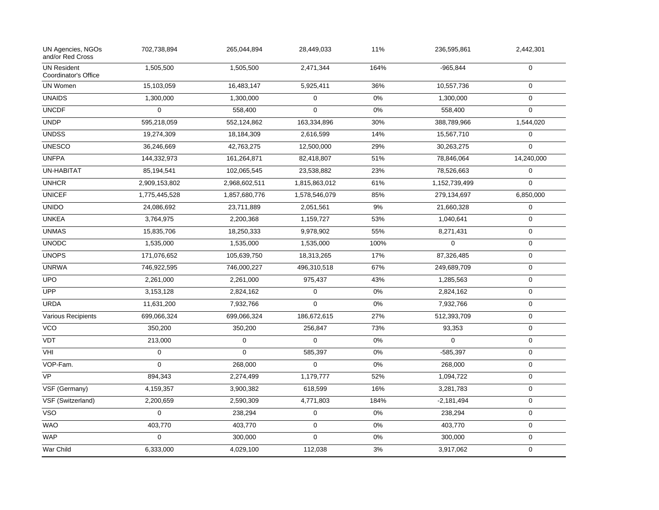| UN Agencies, NGOs<br>and/or Red Cross      | 702,738,894   | 265,044,894   | 28,449,033    | 11%   | 236,595,861   | 2,442,301        |
|--------------------------------------------|---------------|---------------|---------------|-------|---------------|------------------|
| <b>UN Resident</b><br>Coordinator's Office | 1,505,500     | 1,505,500     | 2,471,344     | 164%  | $-965,844$    | $\mathbf 0$      |
| <b>UN Women</b>                            | 15,103,059    | 16,483,147    | 5,925,411     | 36%   | 10,557,736    | $\Omega$         |
| <b>UNAIDS</b>                              | 1,300,000     | 1,300,000     | $\mathbf{0}$  | 0%    | 1,300,000     | $\mathbf 0$      |
| <b>UNCDF</b>                               | $\Omega$      | 558,400       | $\Omega$      | 0%    | 558,400       | $\Omega$         |
| <b>UNDP</b>                                | 595,218,059   | 552,124,862   | 163,334,896   | 30%   | 388,789,966   | 1,544,020        |
| <b>UNDSS</b>                               | 19,274,309    | 18,184,309    | 2,616,599     | 14%   | 15,567,710    | $\pmb{0}$        |
| <b>UNESCO</b>                              | 36,246,669    | 42,763,275    | 12,500,000    | 29%   | 30,263,275    | $\Omega$         |
| <b>UNFPA</b>                               | 144,332,973   | 161,264,871   | 82,418,807    | 51%   | 78,846,064    | 14,240,000       |
| <b>UN-HABITAT</b>                          | 85,194,541    | 102,065,545   | 23,538,882    | 23%   | 78,526,663    | $\mathbf 0$      |
| <b>UNHCR</b>                               | 2,909,153,802 | 2,968,602,511 | 1,815,863,012 | 61%   | 1,152,739,499 | $\mathbf 0$      |
| <b>UNICEF</b>                              | 1,775,445,528 | 1,857,680,776 | 1,578,546,079 | 85%   | 279,134,697   | 6,850,000        |
| <b>UNIDO</b>                               | 24,086,692    | 23,711,889    | 2,051,561     | $9\%$ | 21,660,328    | $\mathbf 0$      |
| <b>UNKEA</b>                               | 3,764,975     | 2,200,368     | 1,159,727     | 53%   | 1,040,641     | $\mathbf 0$      |
| <b>UNMAS</b>                               | 15,835,706    | 18,250,333    | 9,978,902     | 55%   | 8,271,431     | $\mathbf 0$      |
| <b>UNODC</b>                               | 1,535,000     | 1,535,000     | 1,535,000     | 100%  | $\mathbf 0$   | $\boldsymbol{0}$ |
| <b>UNOPS</b>                               | 171,076,652   | 105,639,750   | 18,313,265    | 17%   | 87,326,485    | $\boldsymbol{0}$ |
| <b>UNRWA</b>                               | 746,922,595   | 746,000,227   | 496,310,518   | 67%   | 249,689,709   | $\mathbf 0$      |
| <b>UPO</b>                                 | 2,261,000     | 2,261,000     | 975,437       | 43%   | 1,285,563     | $\mathbf 0$      |
| UPP                                        | 3,153,128     | 2,824,162     | $\mathbf 0$   | 0%    | 2,824,162     | $\mathbf 0$      |
| <b>URDA</b>                                | 11,631,200    | 7,932,766     | $\mathbf 0$   | 0%    | 7,932,766     | $\mathbf 0$      |
| <b>Various Recipients</b>                  | 699,066,324   | 699,066,324   | 186,672,615   | 27%   | 512,393,709   | $\mathbf 0$      |
| $\overline{VCO}$                           | 350,200       | 350,200       | 256,847       | 73%   | 93,353        | $\mathbf 0$      |
| VDT                                        | 213,000       | 0             | 0             | $0\%$ | $\Omega$      | $\mathbf 0$      |
| VHI                                        | $\mathbf 0$   | 0             | 585,397       | 0%    | $-585,397$    | $\boldsymbol{0}$ |
| VOP-Fam.                                   | $\Omega$      | 268,000       | $\pmb{0}$     | 0%    | 268,000       | $\boldsymbol{0}$ |
| <b>VP</b>                                  | 894,343       | 2,274,499     | 1,179,777     | 52%   | 1,094,722     | $\boldsymbol{0}$ |
| VSF (Germany)                              | 4,159,357     | 3,900,382     | 618,599       | 16%   | 3,281,783     | $\boldsymbol{0}$ |
| VSF (Switzerland)                          | 2,200,659     | 2,590,309     | 4,771,803     | 184%  | $-2,181,494$  | $\mathbf 0$      |
| <b>VSO</b>                                 | $\mathbf 0$   | 238,294       | $\pmb{0}$     | 0%    | 238,294       | $\pmb{0}$        |
| <b>WAO</b>                                 | 403,770       | 403,770       | $\mathsf 0$   | 0%    | 403,770       | $\mathbf 0$      |
| <b>WAP</b>                                 | $\mathbf 0$   | 300,000       | 0             | 0%    | 300,000       | $\boldsymbol{0}$ |
| War Child                                  | 6,333,000     | 4,029,100     | 112,038       | 3%    | 3,917,062     | $\mathbf 0$      |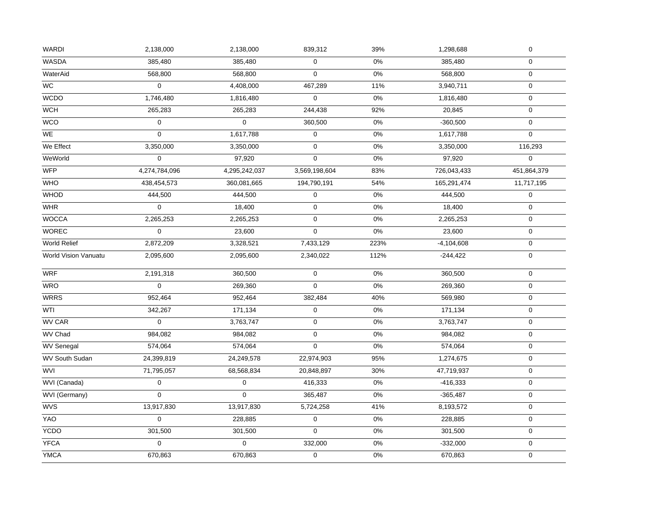| <b>WASDA</b><br>385,480<br>385,480<br>0<br>$0\%$<br>$\mathbf 0$<br>385,480<br>$\mathbf 0$<br>568,800<br>568,800<br>0%<br>568,800<br>$\mathbf 0$<br>WaterAid<br>$\mathbf 0$<br>4,408,000<br>467,289<br>11%<br>3,940,711<br>$\mathbf 0$<br>$\pmb{0}$<br>$0\%$<br>1,746,480<br>1,816,480<br>1,816,480<br>$\mathbf 0$<br>265,283<br>244,438<br>92%<br>265,283<br>20,845<br>$\boldsymbol{0}$<br><b>WCO</b><br>0%<br>0<br>0<br>360,500<br>$-360,500$<br>$\boldsymbol{0}$<br>0<br>$\mathbf 0$<br>$0\%$<br>$\mathbf 0$<br>1,617,788<br>1,617,788<br>$\mathbf 0$<br>$0\%$<br>We Effect<br>3,350,000<br>3,350,000<br>3,350,000<br>116,293<br>WeWorld<br>0<br>$0\%$<br>$\pmb{0}$<br>97,920<br>$\mathbf 0$<br>97,920<br><b>WFP</b><br>4,295,242,037<br>83%<br>726,043,433<br>451,864,379<br>4,274,784,096<br>3,569,198,604<br>438,454,573<br>194,790,191<br>54%<br>165,291,474<br>11,717,195<br>360,081,665<br>0%<br>444,500<br>$\mathbf 0$<br>$\pmb{0}$<br>444,500<br>444,500<br>$\pmb{0}$<br>$0\%$<br>0<br>$\mathbf 0$<br><b>WHR</b><br>18,400<br>18,400<br>$\pmb{0}$<br>2,265,253<br>2,265,253<br>$0\%$<br>2,265,253<br>$\mathbf 0$<br><b>WOREC</b><br>0<br>23,600<br>$\mathbf 0$<br>0%<br>23,600<br>$\mathbf 0$<br>World Relief<br>2,872,209<br>7,433,129<br>223%<br>$-4,104,608$<br>$\mathbf 0$<br>3,328,521<br>112%<br>$\mathbf 0$<br><b>World Vision Vanuatu</b><br>2,095,600<br>2,095,600<br>2,340,022<br>$-244,422$<br>$\mathbf 0$<br>0%<br>$\mathbf 0$<br>2,191,318<br>360,500<br>360,500<br>$\mathbf 0$<br>$\mathbf 0$<br>$0\%$<br>269,360<br>269,360<br>$\boldsymbol{0}$<br>952,464<br>952,464<br>382,484<br>40%<br>569,980<br>$\boldsymbol{0}$<br>342,267<br>$\pmb{0}$<br>$0\%$<br>171,134<br>$\mathbf 0$<br>171,134<br>$\mathbf{0}$<br>3,763,747<br>$\mathbf 0$<br>0%<br>3,763,747<br>$\mathbf 0$<br>WV Chad<br>$0\%$<br>984,082<br>984,082<br>$\mathbf 0$<br>984,082<br>$\boldsymbol{0}$<br>$\mathbf 0$<br>0%<br>$\mathbf 0$<br><b>WV Senegal</b><br>574,064<br>574,064<br>574,064<br><b>WV South Sudan</b><br>22,974,903<br>95%<br>$\mathbf 0$<br>24,399,819<br>24,249,578<br>1,274,675<br>30%<br><b>WVI</b><br>71,795,057<br>68,568,834<br>20,848,897<br>47,719,937<br>$\boldsymbol{0}$<br>$\mathsf{O}\xspace$<br>0<br>416,333<br>$0\%$<br>$-416,333$<br>$\mathbf 0$<br>$\Omega$<br>$\Omega$<br>0%<br>365,487<br>$-365,487$<br>$\mathbf 0$<br>41%<br>13,917,830<br>13,917,830<br>$\mathbf 0$<br>5,724,258<br>8,193,572<br>$\mathbf 0$<br>$\pmb{0}$<br>0%<br>$\mathbf 0$<br>228,885<br>228,885<br>$\mathbf 0$<br>$0\%$<br>301,500<br>301,500<br>301,500<br>$\boldsymbol{0}$<br>332,000<br>$0\%$<br>$-332,000$<br>0<br>0<br>$\boldsymbol{0}$<br>670,863<br>$\pmb{0}$<br>$0\%$<br>670,863<br>$\mathbf 0$<br>670,863 | <b>WARDI</b>    | 2,138,000 | 2,138,000 | 839,312 | 39% | 1,298,688 | $\boldsymbol{0}$ |
|-----------------------------------------------------------------------------------------------------------------------------------------------------------------------------------------------------------------------------------------------------------------------------------------------------------------------------------------------------------------------------------------------------------------------------------------------------------------------------------------------------------------------------------------------------------------------------------------------------------------------------------------------------------------------------------------------------------------------------------------------------------------------------------------------------------------------------------------------------------------------------------------------------------------------------------------------------------------------------------------------------------------------------------------------------------------------------------------------------------------------------------------------------------------------------------------------------------------------------------------------------------------------------------------------------------------------------------------------------------------------------------------------------------------------------------------------------------------------------------------------------------------------------------------------------------------------------------------------------------------------------------------------------------------------------------------------------------------------------------------------------------------------------------------------------------------------------------------------------------------------------------------------------------------------------------------------------------------------------------------------------------------------------------------------------------------------------------------------------------------------------------------------------------------------------------------------------------------------------------------------------------------------------------------------------------------------------------------------------------------------------------------------------------------------------------------------------------------------------------------------------------------------------------------------------------------------------------------------------------------------------------------------------------------------------------------------------------------------|-----------------|-----------|-----------|---------|-----|-----------|------------------|
|                                                                                                                                                                                                                                                                                                                                                                                                                                                                                                                                                                                                                                                                                                                                                                                                                                                                                                                                                                                                                                                                                                                                                                                                                                                                                                                                                                                                                                                                                                                                                                                                                                                                                                                                                                                                                                                                                                                                                                                                                                                                                                                                                                                                                                                                                                                                                                                                                                                                                                                                                                                                                                                                                                                       |                 |           |           |         |     |           |                  |
|                                                                                                                                                                                                                                                                                                                                                                                                                                                                                                                                                                                                                                                                                                                                                                                                                                                                                                                                                                                                                                                                                                                                                                                                                                                                                                                                                                                                                                                                                                                                                                                                                                                                                                                                                                                                                                                                                                                                                                                                                                                                                                                                                                                                                                                                                                                                                                                                                                                                                                                                                                                                                                                                                                                       |                 |           |           |         |     |           |                  |
|                                                                                                                                                                                                                                                                                                                                                                                                                                                                                                                                                                                                                                                                                                                                                                                                                                                                                                                                                                                                                                                                                                                                                                                                                                                                                                                                                                                                                                                                                                                                                                                                                                                                                                                                                                                                                                                                                                                                                                                                                                                                                                                                                                                                                                                                                                                                                                                                                                                                                                                                                                                                                                                                                                                       | $\overline{WC}$ |           |           |         |     |           |                  |
|                                                                                                                                                                                                                                                                                                                                                                                                                                                                                                                                                                                                                                                                                                                                                                                                                                                                                                                                                                                                                                                                                                                                                                                                                                                                                                                                                                                                                                                                                                                                                                                                                                                                                                                                                                                                                                                                                                                                                                                                                                                                                                                                                                                                                                                                                                                                                                                                                                                                                                                                                                                                                                                                                                                       | <b>WCDO</b>     |           |           |         |     |           |                  |
|                                                                                                                                                                                                                                                                                                                                                                                                                                                                                                                                                                                                                                                                                                                                                                                                                                                                                                                                                                                                                                                                                                                                                                                                                                                                                                                                                                                                                                                                                                                                                                                                                                                                                                                                                                                                                                                                                                                                                                                                                                                                                                                                                                                                                                                                                                                                                                                                                                                                                                                                                                                                                                                                                                                       | <b>WCH</b>      |           |           |         |     |           |                  |
|                                                                                                                                                                                                                                                                                                                                                                                                                                                                                                                                                                                                                                                                                                                                                                                                                                                                                                                                                                                                                                                                                                                                                                                                                                                                                                                                                                                                                                                                                                                                                                                                                                                                                                                                                                                                                                                                                                                                                                                                                                                                                                                                                                                                                                                                                                                                                                                                                                                                                                                                                                                                                                                                                                                       |                 |           |           |         |     |           |                  |
|                                                                                                                                                                                                                                                                                                                                                                                                                                                                                                                                                                                                                                                                                                                                                                                                                                                                                                                                                                                                                                                                                                                                                                                                                                                                                                                                                                                                                                                                                                                                                                                                                                                                                                                                                                                                                                                                                                                                                                                                                                                                                                                                                                                                                                                                                                                                                                                                                                                                                                                                                                                                                                                                                                                       | WE              |           |           |         |     |           |                  |
|                                                                                                                                                                                                                                                                                                                                                                                                                                                                                                                                                                                                                                                                                                                                                                                                                                                                                                                                                                                                                                                                                                                                                                                                                                                                                                                                                                                                                                                                                                                                                                                                                                                                                                                                                                                                                                                                                                                                                                                                                                                                                                                                                                                                                                                                                                                                                                                                                                                                                                                                                                                                                                                                                                                       |                 |           |           |         |     |           |                  |
|                                                                                                                                                                                                                                                                                                                                                                                                                                                                                                                                                                                                                                                                                                                                                                                                                                                                                                                                                                                                                                                                                                                                                                                                                                                                                                                                                                                                                                                                                                                                                                                                                                                                                                                                                                                                                                                                                                                                                                                                                                                                                                                                                                                                                                                                                                                                                                                                                                                                                                                                                                                                                                                                                                                       |                 |           |           |         |     |           |                  |
|                                                                                                                                                                                                                                                                                                                                                                                                                                                                                                                                                                                                                                                                                                                                                                                                                                                                                                                                                                                                                                                                                                                                                                                                                                                                                                                                                                                                                                                                                                                                                                                                                                                                                                                                                                                                                                                                                                                                                                                                                                                                                                                                                                                                                                                                                                                                                                                                                                                                                                                                                                                                                                                                                                                       |                 |           |           |         |     |           |                  |
|                                                                                                                                                                                                                                                                                                                                                                                                                                                                                                                                                                                                                                                                                                                                                                                                                                                                                                                                                                                                                                                                                                                                                                                                                                                                                                                                                                                                                                                                                                                                                                                                                                                                                                                                                                                                                                                                                                                                                                                                                                                                                                                                                                                                                                                                                                                                                                                                                                                                                                                                                                                                                                                                                                                       | <b>WHO</b>      |           |           |         |     |           |                  |
|                                                                                                                                                                                                                                                                                                                                                                                                                                                                                                                                                                                                                                                                                                                                                                                                                                                                                                                                                                                                                                                                                                                                                                                                                                                                                                                                                                                                                                                                                                                                                                                                                                                                                                                                                                                                                                                                                                                                                                                                                                                                                                                                                                                                                                                                                                                                                                                                                                                                                                                                                                                                                                                                                                                       | WHOD            |           |           |         |     |           |                  |
|                                                                                                                                                                                                                                                                                                                                                                                                                                                                                                                                                                                                                                                                                                                                                                                                                                                                                                                                                                                                                                                                                                                                                                                                                                                                                                                                                                                                                                                                                                                                                                                                                                                                                                                                                                                                                                                                                                                                                                                                                                                                                                                                                                                                                                                                                                                                                                                                                                                                                                                                                                                                                                                                                                                       |                 |           |           |         |     |           |                  |
|                                                                                                                                                                                                                                                                                                                                                                                                                                                                                                                                                                                                                                                                                                                                                                                                                                                                                                                                                                                                                                                                                                                                                                                                                                                                                                                                                                                                                                                                                                                                                                                                                                                                                                                                                                                                                                                                                                                                                                                                                                                                                                                                                                                                                                                                                                                                                                                                                                                                                                                                                                                                                                                                                                                       | <b>WOCCA</b>    |           |           |         |     |           |                  |
|                                                                                                                                                                                                                                                                                                                                                                                                                                                                                                                                                                                                                                                                                                                                                                                                                                                                                                                                                                                                                                                                                                                                                                                                                                                                                                                                                                                                                                                                                                                                                                                                                                                                                                                                                                                                                                                                                                                                                                                                                                                                                                                                                                                                                                                                                                                                                                                                                                                                                                                                                                                                                                                                                                                       |                 |           |           |         |     |           |                  |
|                                                                                                                                                                                                                                                                                                                                                                                                                                                                                                                                                                                                                                                                                                                                                                                                                                                                                                                                                                                                                                                                                                                                                                                                                                                                                                                                                                                                                                                                                                                                                                                                                                                                                                                                                                                                                                                                                                                                                                                                                                                                                                                                                                                                                                                                                                                                                                                                                                                                                                                                                                                                                                                                                                                       |                 |           |           |         |     |           |                  |
|                                                                                                                                                                                                                                                                                                                                                                                                                                                                                                                                                                                                                                                                                                                                                                                                                                                                                                                                                                                                                                                                                                                                                                                                                                                                                                                                                                                                                                                                                                                                                                                                                                                                                                                                                                                                                                                                                                                                                                                                                                                                                                                                                                                                                                                                                                                                                                                                                                                                                                                                                                                                                                                                                                                       |                 |           |           |         |     |           |                  |
|                                                                                                                                                                                                                                                                                                                                                                                                                                                                                                                                                                                                                                                                                                                                                                                                                                                                                                                                                                                                                                                                                                                                                                                                                                                                                                                                                                                                                                                                                                                                                                                                                                                                                                                                                                                                                                                                                                                                                                                                                                                                                                                                                                                                                                                                                                                                                                                                                                                                                                                                                                                                                                                                                                                       | <b>WRF</b>      |           |           |         |     |           |                  |
|                                                                                                                                                                                                                                                                                                                                                                                                                                                                                                                                                                                                                                                                                                                                                                                                                                                                                                                                                                                                                                                                                                                                                                                                                                                                                                                                                                                                                                                                                                                                                                                                                                                                                                                                                                                                                                                                                                                                                                                                                                                                                                                                                                                                                                                                                                                                                                                                                                                                                                                                                                                                                                                                                                                       | <b>WRO</b>      |           |           |         |     |           |                  |
|                                                                                                                                                                                                                                                                                                                                                                                                                                                                                                                                                                                                                                                                                                                                                                                                                                                                                                                                                                                                                                                                                                                                                                                                                                                                                                                                                                                                                                                                                                                                                                                                                                                                                                                                                                                                                                                                                                                                                                                                                                                                                                                                                                                                                                                                                                                                                                                                                                                                                                                                                                                                                                                                                                                       | <b>WRRS</b>     |           |           |         |     |           |                  |
|                                                                                                                                                                                                                                                                                                                                                                                                                                                                                                                                                                                                                                                                                                                                                                                                                                                                                                                                                                                                                                                                                                                                                                                                                                                                                                                                                                                                                                                                                                                                                                                                                                                                                                                                                                                                                                                                                                                                                                                                                                                                                                                                                                                                                                                                                                                                                                                                                                                                                                                                                                                                                                                                                                                       | WTI             |           |           |         |     |           |                  |
|                                                                                                                                                                                                                                                                                                                                                                                                                                                                                                                                                                                                                                                                                                                                                                                                                                                                                                                                                                                                                                                                                                                                                                                                                                                                                                                                                                                                                                                                                                                                                                                                                                                                                                                                                                                                                                                                                                                                                                                                                                                                                                                                                                                                                                                                                                                                                                                                                                                                                                                                                                                                                                                                                                                       | <b>WV CAR</b>   |           |           |         |     |           |                  |
|                                                                                                                                                                                                                                                                                                                                                                                                                                                                                                                                                                                                                                                                                                                                                                                                                                                                                                                                                                                                                                                                                                                                                                                                                                                                                                                                                                                                                                                                                                                                                                                                                                                                                                                                                                                                                                                                                                                                                                                                                                                                                                                                                                                                                                                                                                                                                                                                                                                                                                                                                                                                                                                                                                                       |                 |           |           |         |     |           |                  |
|                                                                                                                                                                                                                                                                                                                                                                                                                                                                                                                                                                                                                                                                                                                                                                                                                                                                                                                                                                                                                                                                                                                                                                                                                                                                                                                                                                                                                                                                                                                                                                                                                                                                                                                                                                                                                                                                                                                                                                                                                                                                                                                                                                                                                                                                                                                                                                                                                                                                                                                                                                                                                                                                                                                       |                 |           |           |         |     |           |                  |
|                                                                                                                                                                                                                                                                                                                                                                                                                                                                                                                                                                                                                                                                                                                                                                                                                                                                                                                                                                                                                                                                                                                                                                                                                                                                                                                                                                                                                                                                                                                                                                                                                                                                                                                                                                                                                                                                                                                                                                                                                                                                                                                                                                                                                                                                                                                                                                                                                                                                                                                                                                                                                                                                                                                       |                 |           |           |         |     |           |                  |
|                                                                                                                                                                                                                                                                                                                                                                                                                                                                                                                                                                                                                                                                                                                                                                                                                                                                                                                                                                                                                                                                                                                                                                                                                                                                                                                                                                                                                                                                                                                                                                                                                                                                                                                                                                                                                                                                                                                                                                                                                                                                                                                                                                                                                                                                                                                                                                                                                                                                                                                                                                                                                                                                                                                       |                 |           |           |         |     |           |                  |
|                                                                                                                                                                                                                                                                                                                                                                                                                                                                                                                                                                                                                                                                                                                                                                                                                                                                                                                                                                                                                                                                                                                                                                                                                                                                                                                                                                                                                                                                                                                                                                                                                                                                                                                                                                                                                                                                                                                                                                                                                                                                                                                                                                                                                                                                                                                                                                                                                                                                                                                                                                                                                                                                                                                       | WVI (Canada)    |           |           |         |     |           |                  |
|                                                                                                                                                                                                                                                                                                                                                                                                                                                                                                                                                                                                                                                                                                                                                                                                                                                                                                                                                                                                                                                                                                                                                                                                                                                                                                                                                                                                                                                                                                                                                                                                                                                                                                                                                                                                                                                                                                                                                                                                                                                                                                                                                                                                                                                                                                                                                                                                                                                                                                                                                                                                                                                                                                                       | WVI (Germany)   |           |           |         |     |           |                  |
|                                                                                                                                                                                                                                                                                                                                                                                                                                                                                                                                                                                                                                                                                                                                                                                                                                                                                                                                                                                                                                                                                                                                                                                                                                                                                                                                                                                                                                                                                                                                                                                                                                                                                                                                                                                                                                                                                                                                                                                                                                                                                                                                                                                                                                                                                                                                                                                                                                                                                                                                                                                                                                                                                                                       | <b>WVS</b>      |           |           |         |     |           |                  |
|                                                                                                                                                                                                                                                                                                                                                                                                                                                                                                                                                                                                                                                                                                                                                                                                                                                                                                                                                                                                                                                                                                                                                                                                                                                                                                                                                                                                                                                                                                                                                                                                                                                                                                                                                                                                                                                                                                                                                                                                                                                                                                                                                                                                                                                                                                                                                                                                                                                                                                                                                                                                                                                                                                                       | <b>YAO</b>      |           |           |         |     |           |                  |
|                                                                                                                                                                                                                                                                                                                                                                                                                                                                                                                                                                                                                                                                                                                                                                                                                                                                                                                                                                                                                                                                                                                                                                                                                                                                                                                                                                                                                                                                                                                                                                                                                                                                                                                                                                                                                                                                                                                                                                                                                                                                                                                                                                                                                                                                                                                                                                                                                                                                                                                                                                                                                                                                                                                       | <b>YCDO</b>     |           |           |         |     |           |                  |
|                                                                                                                                                                                                                                                                                                                                                                                                                                                                                                                                                                                                                                                                                                                                                                                                                                                                                                                                                                                                                                                                                                                                                                                                                                                                                                                                                                                                                                                                                                                                                                                                                                                                                                                                                                                                                                                                                                                                                                                                                                                                                                                                                                                                                                                                                                                                                                                                                                                                                                                                                                                                                                                                                                                       | <b>YFCA</b>     |           |           |         |     |           |                  |
|                                                                                                                                                                                                                                                                                                                                                                                                                                                                                                                                                                                                                                                                                                                                                                                                                                                                                                                                                                                                                                                                                                                                                                                                                                                                                                                                                                                                                                                                                                                                                                                                                                                                                                                                                                                                                                                                                                                                                                                                                                                                                                                                                                                                                                                                                                                                                                                                                                                                                                                                                                                                                                                                                                                       | <b>YMCA</b>     |           |           |         |     |           |                  |